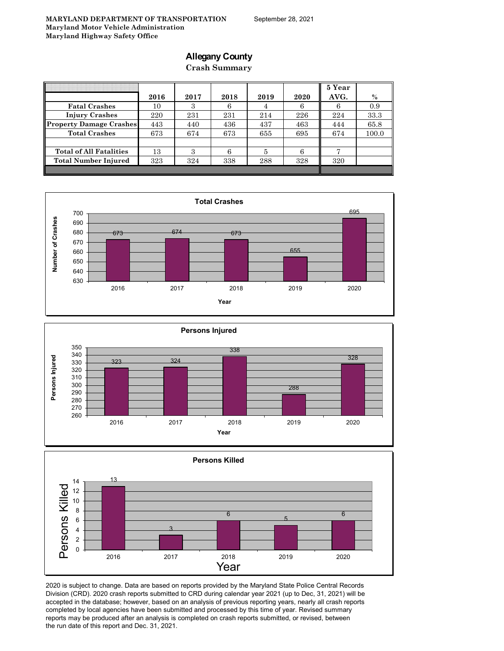### **Allegany County**

**Crash Summary**

|                                | 2016 | 2017 | 2018 | 2019 | 2020 | 5 Year<br>AVG. | $\%$  |
|--------------------------------|------|------|------|------|------|----------------|-------|
|                                |      |      |      |      |      |                |       |
| <b>Fatal Crashes</b>           | 10   | 3    | 6    | 4    |      | 6              | 0.9   |
| <b>Injury Crashes</b>          | 220  | 231  | 231  | 214  | 226  | 224            | 33.3  |
| <b>Property Damage Crashes</b> | 443  | 440  | 436  | 437  | 463  | 444            | 65.8  |
| <b>Total Crashes</b>           | 673  | 674  | 673  | 655  | 695  | 674            | 100.0 |
|                                |      |      |      |      |      |                |       |
| <b>Total of All Fatalities</b> | 13   | З    | 6    | 5    |      |                |       |
| <b>Total Number Injured</b>    | 323  | 324  | 338  | 288  | 328  | 320            |       |
|                                |      |      |      |      |      |                |       |







2020 is subject to change. Data are based on reports provided by the Maryland State Police Central Records Division (CRD). 2020 crash reports submitted to CRD during calendar year 2021 (up to Dec, 31, 2021) will be accepted in the database; however, based on an analysis of previous reporting years, nearly all crash reports completed by local agencies have been submitted and processed by this time of year. Revised summary reports may be produced after an analysis is completed on crash reports submitted, or revised, between the run date of this report and Dec. 31, 2021.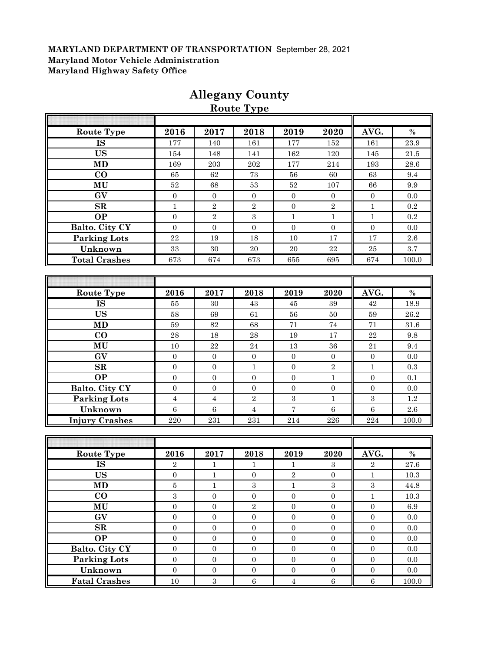|                       |                  |                  | Route Type       |                  |                  |                  |           |
|-----------------------|------------------|------------------|------------------|------------------|------------------|------------------|-----------|
|                       |                  |                  |                  |                  |                  |                  |           |
| Route Type            | 2016             | 2017             | 2018             | 2019             | 2020             | AVG.             | $\%$      |
| <b>IS</b>             | 177              | 140              | 161              | 177              | 152              | 161              | 23.9      |
| <b>US</b>             | 154              | 148              | 141              | 162              | 120              | 145              | $21.5\,$  |
| MD                    | 169              | $\,203$          | $\>202$          | 177              | 214              | 193              | 28.6      |
| $\bf CO$              | 65               | $62\,$           | 73               | 56               | 60               | 63               | 9.4       |
| MU                    | $52\,$           | 68               | $53\,$           | $52\,$           | 107              | 66               | 9.9       |
| GV                    | $\boldsymbol{0}$ | $\boldsymbol{0}$ | $\boldsymbol{0}$ | $\boldsymbol{0}$ | $\boldsymbol{0}$ | $\boldsymbol{0}$ | 0.0       |
| SR                    | $\mathbf{1}$     | $\,2$            | $\sqrt{2}$       | $\mathbf{0}$     | $\sqrt{2}$       | $\mathbf{1}$     | $\rm 0.2$ |
| <b>OP</b>             | $\mathbf{0}$     | $\sqrt{2}$       | $\sqrt{3}$       | $\mathbf{1}$     | $\mathbf{1}$     | $\mathbf{1}$     | $\rm 0.2$ |
| Balto. City CY        | $\overline{0}$   | $\mathbf{0}$     | $\boldsymbol{0}$ | $\mathbf{0}$     | $\mathbf{0}$     | $\overline{0}$   | 0.0       |
| <b>Parking Lots</b>   | $\bf 22$         | $19\,$           | 18               | $10\,$           | 17               | 17               | $2.6\,$   |
| Unknown               | $33\,$           | 30               | 20               | 20               | $\bf{22}$        | 25               | $3.7\,$   |
| <b>Total Crashes</b>  | 673              | 674              | 673              | 655              | 695              | 674              | 100.0     |
|                       |                  |                  |                  |                  |                  |                  |           |
|                       |                  |                  |                  |                  |                  |                  |           |
| Route Type            | 2016             | 2017             | 2018             | 2019             | 2020             | AVG.             | $\%$      |
| <b>IS</b>             | 55               | $30\,$           | 43               | $\rm 45$         | 39               | 42               | 18.9      |
| <b>US</b>             | 58               | 69               | 61               | 56               | $50\,$           | 59               | 26.2      |
| <b>MD</b>             | 59               | $82\,$           | 68               | 71               | 74               | 71               | 31.6      |
| $\bf CO$              | 28               | 18               | 28               | 19               | 17               | 22               | 9.8       |
| MU                    | 10               | $22\,$           | 24               | 13               | 36               | 21               | 9.4       |
| GV                    | $\mathbf{0}$     | $\boldsymbol{0}$ | $\boldsymbol{0}$ | $\mathbf{0}$     | $\boldsymbol{0}$ | $\mathbf{0}$     | 0.0       |
| SR                    | $\boldsymbol{0}$ | $\boldsymbol{0}$ | $\mathbf{1}$     | $\mathbf{0}$     | $\,2$            | $\mathbf{1}$     | 0.3       |
| <b>OP</b>             | $\boldsymbol{0}$ | $\boldsymbol{0}$ | $\boldsymbol{0}$ | $\boldsymbol{0}$ | $\mathbf{1}$     | $\boldsymbol{0}$ | 0.1       |
| Balto. City CY        | $\boldsymbol{0}$ | $\boldsymbol{0}$ | $\boldsymbol{0}$ | $\boldsymbol{0}$ | $\boldsymbol{0}$ | $\boldsymbol{0}$ | 0.0       |
| <b>Parking Lots</b>   | $\overline{4}$   | $\overline{4}$   | $\sqrt{2}$       | $\boldsymbol{3}$ | $\mathbf{1}$     | $\boldsymbol{3}$ | 1.2       |
| Unknown               | $\,6\,$          | $\,6\,$          | $\overline{4}$   | $\overline{7}$   | $\overline{6}$   | $\overline{6}$   | $2.6\,$   |
| <b>Injury Crashes</b> | 220              | 231              | 231              | 214              | 226              | 224              | 100.0     |
|                       |                  |                  |                  |                  |                  |                  |           |
|                       |                  |                  |                  |                  |                  |                  |           |
| <b>Route Type</b>     | 2016             | 2017             | 2018             | 2019             | 2020             | AVG.             | $\%$      |
| <b>IS</b>             | $\sqrt{2}$       | $\mathbf{1}$     | $\mathbf{1}$     | 1                | $\sqrt{3}$       | $\sqrt{2}$       | $27.6\,$  |
| <b>US</b>             | $\mathbf{0}$     | T                | $\mathbf{0}$     | $\mathbf{z}$     | $\mathbf{0}$     | $\perp$          | 10.3      |
| <b>MD</b>             | $\bf 5$          | $\mathbf{1}$     | $\overline{3}$   | $\mathbf{1}$     | $\overline{3}$   | $\,3$            | 44.8      |
| $\bf CO$              | $\,3$            | $\boldsymbol{0}$ | $\boldsymbol{0}$ | $\boldsymbol{0}$ | $\boldsymbol{0}$ | $\mathbf{1}$     | 10.3      |
| MU                    | $\boldsymbol{0}$ | $\boldsymbol{0}$ | $\overline{2}$   | $\overline{0}$   | $\overline{0}$   | $\boldsymbol{0}$ | 6.9       |
| GV                    | $\boldsymbol{0}$ | $\boldsymbol{0}$ | $\boldsymbol{0}$ | $\overline{0}$   | $\boldsymbol{0}$ | $\boldsymbol{0}$ | $0.0\,$   |
| ${\bf SR}$            | $\boldsymbol{0}$ | $\boldsymbol{0}$ | $\boldsymbol{0}$ | $\boldsymbol{0}$ | $\boldsymbol{0}$ | $\boldsymbol{0}$ | $0.0\,$   |
| <b>OP</b>             | $\boldsymbol{0}$ | $\boldsymbol{0}$ | $\boldsymbol{0}$ | $\boldsymbol{0}$ | $\boldsymbol{0}$ | $\boldsymbol{0}$ | 0.0       |
| Balto. City CY        | $\boldsymbol{0}$ | $\boldsymbol{0}$ | $\boldsymbol{0}$ | $\boldsymbol{0}$ | $\boldsymbol{0}$ | $\boldsymbol{0}$ | $0.0\,$   |
| <b>Parking Lots</b>   | $\boldsymbol{0}$ | $\boldsymbol{0}$ | $\boldsymbol{0}$ | $\overline{0}$   | $\boldsymbol{0}$ | $\boldsymbol{0}$ | 0.0       |
| Unknown               | $\overline{0}$   | $\boldsymbol{0}$ | $\boldsymbol{0}$ | $\overline{0}$   | $\boldsymbol{0}$ | $\boldsymbol{0}$ | $0.0\,$   |
| <b>Fatal Crashes</b>  | $10\,$           | $\,3$            | $\,6\,$          | $\overline{4}$   | $\,6\,$          | $\,6\,$          | 100.0     |
|                       |                  |                  |                  |                  |                  |                  |           |

## **Allegany County**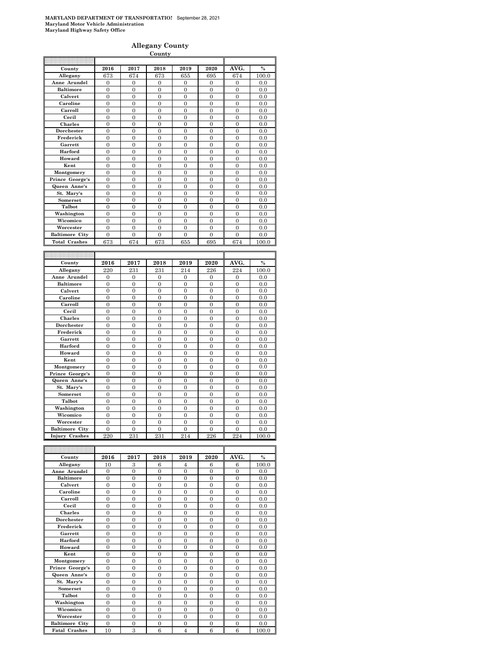#### **Allegany County**

|                                                |                     |                     | <b>County</b>         |                       |                         |                     |               |
|------------------------------------------------|---------------------|---------------------|-----------------------|-----------------------|-------------------------|---------------------|---------------|
|                                                |                     |                     |                       |                       |                         |                     |               |
| County                                         | 2016                | 2017                | 2018                  | 2019                  | 2020                    | AVG.                | $\frac{0}{0}$ |
| Allegany                                       | 673                 | 674                 | 673                   | 655                   | 695                     | 674                 | 100.0         |
| Anne Arundel                                   | 0                   | 0                   | 0                     | $\mathbf{0}$          | $\mathbf{0}$            | 0                   | 0.0           |
| <b>Baltimore</b>                               | $\overline{0}$      | $\overline{0}$      | $\overline{0}$        | $\overline{0}$        | $\overline{0}$          | $\overline{0}$      | 0.0           |
| Calvert                                        | $\overline{0}$      | $\overline{0}$      | $\overline{0}$        | $\overline{0}$        | $\overline{0}$          | $\overline{0}$      | 0.0           |
| Caroline                                       | $\overline{0}$      | $\overline{0}$      | $\overline{0}$        | $\overline{0}$        | $\overline{0}$          | $\overline{0}$      | 0.0           |
| Carroll                                        | $\overline{0}$      | $\overline{0}$      | $\overline{0}$        | $\overline{0}$        | $\overline{0}$          | $\overline{0}$      | $0.0\,$       |
| Cecil                                          | $\overline{0}$      | $\overline{0}$      | $\overline{0}$        | $\overline{0}$        | $\overline{0}$          | $\overline{0}$      | 0.0           |
| Charles                                        | $\overline{0}$      | $\overline{0}$      | $\overline{0}$        | $\overline{0}$        | $\overline{0}$          | $\overline{0}$      | 0.0           |
| Dorchester                                     | $\overline{0}$      | $\overline{0}$      | $\overline{0}$        | $\overline{0}$        | $\overline{0}$          | $\overline{0}$      | 0.0           |
| Frederick                                      | $\boldsymbol{0}$    | $\boldsymbol{0}$    | $\mathbf{0}$          | $\mathbf{0}$          | $\bf{0}$                | $\boldsymbol{0}$    | 0.0           |
| Garrett                                        | $\overline{0}$      | $\overline{0}$      | $\overline{0}$        | $\overline{0}$        | $\overline{0}$          | $\overline{0}$      | 0.0           |
| Harford                                        | $\boldsymbol{0}$    | $\mathbf{0}$        | $\mathbf{0}$          | $\mathbf{0}$          | $\mathbf{0}$            | $\boldsymbol{0}$    | 0.0           |
| Howard                                         | $\overline{0}$      | $\overline{0}$      | $\overline{0}$        | $\overline{0}$        | $\overline{0}$          | $\overline{0}$      | 0.0           |
| Kent                                           | $\theta$            | $\theta$            | $\theta$              | $\theta$              | $\Omega$                | $\overline{0}$      | 0.0           |
| Montgomery                                     | $\overline{0}$      | $\overline{0}$      | $\overline{0}$        | $\overline{0}$        | $\overline{0}$          | $\overline{0}$      | 0.0           |
| Prince George's                                | $\mathbf{0}$        | $\mathbf{0}$        | $\mathbf{0}$          | $\mathbf{0}$          | $\mathbf{0}$            | $\boldsymbol{0}$    | 0.0           |
| Queen Anne's                                   | $\overline{0}$      | $\overline{0}$      | $\overline{0}$        | $\overline{0}$        | $\overline{0}$          | $\overline{0}$      | 0.0           |
| St. Mary's                                     | $\mathbf{0}$        | $\mathbf{0}$        | $\mathbf{0}$          | $\mathbf{0}$          | $\mathbf{0}$            | $\mathbf{0}$        | 0.0           |
| Somerset                                       | $\overline{0}$      | $\overline{0}$      | $\overline{0}$        | $\overline{0}$        | $\overline{0}$          | $\overline{0}$      | 0.0           |
| Talbot                                         | $\overline{0}$      | $\overline{0}$      | $\overline{0}$        | 0                     | $\mathbf{0}$            | $\mathbf{0}$        | 0.0           |
| Washington                                     | $\theta$            | $\overline{0}$      | $\overline{0}$        | $\overline{0}$        | $\theta$                | $\overline{0}$      | 0.0           |
| Wicomico                                       | $\boldsymbol{0}$    | $\boldsymbol{0}$    | $\mathbf{0}$          | $\mathbf{0}$          | $\mathbf{0}$            | $\boldsymbol{0}$    | 0.0           |
| Worcester                                      | $\overline{0}$      | $\overline{0}$      | $\overline{0}$        | $\overline{0}$        | $\overline{0}$          | $\overline{0}$      | 0.0           |
| <b>Baltimore City</b>                          | $\overline{0}$      | $\overline{0}$      | $\overline{0}$        | $\overline{0}$        | $\overline{0}$          | $\overline{0}$      | 0.0           |
| <b>Total Crashes</b>                           | 673                 | 674                 | 673                   | 655                   | 695                     | 674                 | 100.0         |
|                                                |                     |                     |                       |                       |                         |                     |               |
|                                                |                     |                     |                       |                       |                         |                     |               |
|                                                |                     |                     |                       |                       |                         |                     |               |
| County                                         | 2016                | 2017                | 2018                  | 2019                  | 2020                    | AVG.                | $\%$          |
| Allegany                                       | 220                 | 231                 | 231                   | 214                   | 226                     | 224                 | 100.0         |
| Anne Arundel                                   | $\overline{0}$      | $\overline{0}$      | $\overline{0}$        | $\overline{0}$        | $\overline{0}$          | $\overline{0}$      | 0.0           |
| <b>Baltimore</b>                               | $\theta$            | $\theta$            | $\theta$              | $\mathbf{0}$          | $\mathbf{0}$            | $\mathbf{0}$        | 0.0           |
| Calvert                                        | $\Omega$            | $\overline{0}$      | $\overline{0}$        | 0                     | $\mathbf{0}$            | $\overline{0}$      | 0.0           |
| Caroline                                       | $\mathbf{0}$        | $\overline{0}$      | $\overline{0}$        | $\overline{0}$        | $\mathbf{0}$            | $\mathbf{0}$        | 0.0           |
| Carroll                                        | $\overline{0}$      | $\overline{0}$      | $\overline{0}$        | $\mathbf{0}$          | $\overline{0}$          | $\overline{0}$      | 0.0           |
| Cecil                                          | $\overline{0}$      | $\mathbf{0}$        | $\mathbf{0}$          | $\overline{0}$        | $\boldsymbol{0}$        | $\mathbf{0}$        | 0.0           |
| <b>Charles</b>                                 | $\overline{0}$      | $\overline{0}$      | $\overline{0}$        | $\overline{0}$        | $\overline{0}$          | $\overline{0}$      | 0.0           |
| Dorchester                                     | $\overline{0}$      | $\overline{0}$      | 0                     | 0                     | $\mathbf{0}$            | $\mathbf{0}$        | 0.0           |
| Frederick                                      | $\theta$            | $\overline{0}$      | $\overline{0}$        | $\theta$              | $\theta$                | $\overline{0}$      | 0.0           |
| Garrett                                        | $\boldsymbol{0}$    | $\mathbf{0}$        | $\mathbf{0}$          | $\mathbf{0}$          | $\mathbf{0}$            | $\mathbf{0}$        | 0.0           |
| Harford                                        | $\overline{0}$      | $\overline{0}$      | $\overline{0}$        | $\overline{0}$        | $\overline{0}$          | $\overline{0}$      | 0.0           |
| Howard                                         | $\overline{0}$      | $\overline{0}$      | $\overline{0}$        | $\overline{0}$        | $\overline{0}$          | $\overline{0}$      | 0.0           |
| Kent                                           | $\mathbf{0}$        | $\mathbf{0}$        | $\mathbf{0}$          | $\mathbf{0}$          | $\mathbf{0}$            | $\mathbf{0}$        | 0.0           |
| Montgomery                                     | $\overline{0}$      | $\overline{0}$      | $\overline{0}$        | $\overline{0}$        | $\overline{0}$          | $\overline{0}$      | 0.0           |
| Prince George's                                | $\theta$            | $\Omega$            | $\theta$              | $\theta$              | $\Omega$                | $\theta$            | 0.0           |
| Queen Anne's                                   | $\mathbf{0}$        | $\mathbf{0}$        | $\mathbf{0}$          | $\mathbf{0}$          | $\mathbf{0}$            | $\mathbf{0}$        | 0.0           |
| St. Mary's                                     | $\mathbf{0}$        | $\mathbf{0}$        | $\mathbf{0}$          | $\mathbf{0}$          | $\overline{0}$          | $\boldsymbol{0}$    | 0.0           |
| Somerset                                       | $\overline{0}$      | $\overline{0}$      | $\overline{0}$        | $\overline{0}$        | $\overline{0}$          | $\overline{0}$      | 0.0           |
| <b>Talbot</b>                                  | $\overline{0}$      | $\mathbf{0}$        | $\mathbf{0}$          | $\overline{0}$        | $\overline{0}$          | $\mathbf{0}$        | 0.0           |
| Washington                                     | $\overline{0}$      | $\overline{0}$      | $\overline{0}$        | $\overline{0}$        | $\overline{0}$          | $\overline{0}$      | 0.0           |
| Wicomico                                       | $\theta$            | $\theta$            | $\theta$              | $\theta$              | $\theta$                | $\theta$            | 0.0           |
| Worcester                                      | $\mathbf{0}$        | $\boldsymbol{0}$    | $\mathbf{0}$          | $\mathbf{0}$          | $\mathbf{0}$            | $\boldsymbol{0}$    | 0.0           |
| <b>Baltimore City</b><br><b>Injury Crashes</b> | $\mathbf{0}$<br>220 | $\mathbf{0}$<br>231 | $\overline{0}$<br>231 | $\overline{0}$<br>214 | $\boldsymbol{0}$<br>226 | $\mathbf{0}$<br>224 | 0.0<br>100.0  |

| County                | 2016           | 2017     | 2018     | 2019           | 2020     | AVG.     | $\%$  |
|-----------------------|----------------|----------|----------|----------------|----------|----------|-------|
| Allegany              | 10             | 3        | 6        | $\overline{4}$ | 6        | 6        | 100.0 |
| Anne Arundel          | $\theta$       | $\theta$ | $\theta$ | $\theta$       | $\theta$ | $\Omega$ | 0.0   |
| <b>Baltimore</b>      | $\overline{0}$ | $\theta$ | $\theta$ | $\theta$       | $\Omega$ | $\theta$ | 0.0   |
| Calvert               | $\overline{0}$ | $\theta$ | $\theta$ | $\Omega$       | $\Omega$ | $\Omega$ | 0.0   |
| Caroline              | $\theta$       | $\theta$ | $\theta$ | $\theta$       | $\theta$ | $\theta$ | 0.0   |
| Carroll               | $\theta$       | $\theta$ | $\theta$ | $\Omega$       | $\theta$ | $\Omega$ | 0.0   |
| Cecil                 | $\overline{0}$ | $\theta$ | $\theta$ | $\theta$       | $\theta$ | $\theta$ | 0.0   |
| <b>Charles</b>        | $\theta$       | $\theta$ | $\theta$ | $\theta$       | $\theta$ | $\Omega$ | 0.0   |
| Dorchester            | $\theta$       | $\theta$ | $\theta$ | $\theta$       | $\theta$ | $\theta$ | 0.0   |
| Frederick             | $\theta$       | $\theta$ | $\theta$ | $\theta$       | $\theta$ | $\Omega$ | 0.0   |
| Garrett               | $\theta$       | $\theta$ | $\theta$ | $\theta$       | $\Omega$ | $\theta$ | 0.0   |
| Harford               | $\overline{0}$ | $\theta$ | $\theta$ | $\Omega$       | $\theta$ | $\Omega$ | 0.0   |
| Howard                | $\theta$       | $\theta$ | $\theta$ | $\theta$       | $\theta$ | $\theta$ | 0.0   |
| Kent                  | $\overline{0}$ | $\theta$ | $\theta$ | $\theta$       | $\theta$ | $\Omega$ | 0.0   |
| Montgomery            | $\theta$       | $\theta$ | $\theta$ | $\theta$       | $\theta$ | $\theta$ | 0.0   |
| Prince George's       | $\theta$       | $\theta$ | $\theta$ | $\theta$       | $\theta$ | $\theta$ | 0.0   |
| Queen Anne's          | $\theta$       | $\theta$ | $\theta$ | $\theta$       | $\Omega$ | $\theta$ | 0.0   |
| St. Mary's            | $\overline{0}$ | $\theta$ | $\theta$ | $\theta$       | $\Omega$ | $\Omega$ | 0.0   |
| <b>Somerset</b>       | $\theta$       | $\Omega$ | $\theta$ | $\Omega$       | $\Omega$ | $\Omega$ | 0.0   |
| Talbot                | $\overline{0}$ | $\theta$ | $\theta$ | $\Omega$       | $\Omega$ | $\Omega$ | 0.0   |
| Washington            | $\theta$       | $\Omega$ | $\theta$ | $\Omega$       | $\theta$ | $\Omega$ | 0.0   |
| Wicomico              | $\theta$       | $\theta$ | $\theta$ | $\Omega$       | $\Omega$ | $\Omega$ | 0.0   |
| Worcester             | $\theta$       | $\Omega$ | $\theta$ | $\Omega$       | $\Omega$ | $\Omega$ | 0.0   |
| <b>Baltimore City</b> | $\theta$       | $\theta$ | $\theta$ | $\Omega$       | $\Omega$ | $\Omega$ | 0.0   |
| <b>Fatal Crashes</b>  | 10             | 3        | 6        | $\overline{4}$ | 6        | 6        | 100.0 |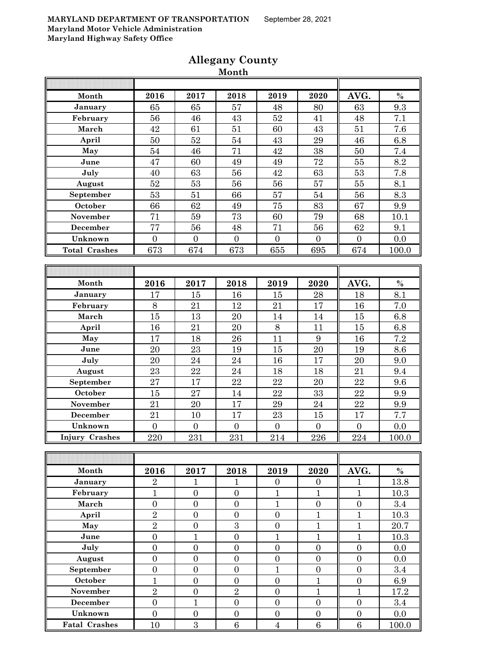| Month                 | 2016             | 2017             | 2018             | 2019             | 2020             | AVG.             | $\%$  |
|-----------------------|------------------|------------------|------------------|------------------|------------------|------------------|-------|
| January               | 65               | 65               | 57               | 48               | 80               | 63               | 9.3   |
| February              | 56               | 46               | 43               | 52               | 41               | 48               | 7.1   |
| March                 | 42               | 61               | 51               | 60               | 43               | 51               | 7.6   |
| April                 | 50               | 52               | 54               | 43               | 29               | 46               | 6.8   |
| May                   | 54               | 46               | 71               | 42               | 38               | 50               | 7.4   |
| June                  | 47               | 60               | 49               | 49               | 72               | 55               | 8.2   |
| July                  | 40               | 63               | 56               | 42               | 63               | 53               | 7.8   |
| August                | 52               | 53               | 56               | 56               | 57               | $55\,$           | 8.1   |
| September             | 53               | 51               | 66               | 57               | 54               | 56               | 8.3   |
| October               | 66               | 62               | 49               | 75               | 83               | 67               | 9.9   |
| November              | 71               | 59               | 73               | 60               | 79               | 68               | 10.1  |
| December              | 77               | 56               | 48               | 71               | 56               | 62               | 9.1   |
| Unknown               | $\overline{0}$   | $\overline{0}$   | $\boldsymbol{0}$ | $\mathbf{0}$     | $\overline{0}$   | $\mathbf{0}$     | 0.0   |
| <b>Total Crashes</b>  | 673              | 674              | 673              | 655              | 695              | 674              | 100.0 |
|                       |                  |                  |                  |                  |                  |                  |       |
|                       |                  |                  |                  |                  |                  |                  |       |
| Month                 | 2016             | 2017             | 2018             | 2019             | 2020             | AVG.             | $\%$  |
| January               | 17               | 15               | 16               | 15               | 28               | 18               | 8.1   |
| February              | 8                | 21               | 12               | 21               | 17               | 16               | 7.0   |
| March                 | 15               | 13               | 20               | 14               | 14               | 15               | 6.8   |
| April                 | 16               | 21               | 20               | 8                | 11               | 15               | 6.8   |
| May                   | 17               | 18               | 26               | 11               | 9                | 16               | 7.2   |
| June                  | 20               | 23               | 19               | 15               | 20               | 19               | 8.6   |
| July                  | 20               | $\sqrt{24}$      | 24               | 16               | 17               | 20               | 9.0   |
| August                | 23               | 22               | 24               | 18               | 18               | 21               | 9.4   |
| September             | 27               | 17               | $\bf{22}$        | 22               | 20               | 22               | 9.6   |
| October               | 15               | 27               | 14               | 22               | 33               | 22               | 9.9   |
| November              | 21               | 20               | 17               | 29               | 24               | 22               | 9.9   |
| December              | 21               | 10               | 17               | 23               | 15               | 17               | 7.7   |
| Unknown               | $\overline{0}$   | $\overline{0}$   | $\boldsymbol{0}$ | $\mathbf{0}$     | $\boldsymbol{0}$ | $\boldsymbol{0}$ | 0.0   |
| <b>Injury Crashes</b> | 220              | 231              | 231              | 214              | 226              | 224              | 100.0 |
|                       |                  |                  |                  |                  |                  |                  |       |
|                       |                  |                  |                  |                  |                  |                  |       |
| Month                 | 2016             | 2017             | 2018             | 2019             | 2020             | AVG.             | $\%$  |
| January               | $\sqrt{2}$       | $\mathbf{1}$     | $\mathbf{1}$     | $\boldsymbol{0}$ | $\boldsymbol{0}$ | $\mathbf{1}$     | 13.8  |
| February              | $\mathbf{1}$     | $\overline{0}$   | $\overline{0}$   | $\mathbf{1}$     | $\mathbf{1}$     | $\mathbf{1}$     | 10.3  |
| March                 | $\boldsymbol{0}$ | $\boldsymbol{0}$ | $\boldsymbol{0}$ | $\mathbf{1}$     | $\boldsymbol{0}$ | $\boldsymbol{0}$ | 3.4   |
| April                 | $\overline{2}$   | $\boldsymbol{0}$ | $\boldsymbol{0}$ | $\boldsymbol{0}$ | $\mathbf{1}$     | $\mathbf{1}$     | 10.3  |
| May                   | $\overline{2}$   | $\boldsymbol{0}$ | $\overline{3}$   | $\boldsymbol{0}$ | $\mathbf{1}$     | $\mathbf{1}$     | 20.7  |
| June                  | $\boldsymbol{0}$ | $\mathbf{1}$     | $\boldsymbol{0}$ | $\mathbf{1}$     | $\mathbf{1}$     | $\mathbf{1}$     | 10.3  |
| July                  | $\overline{0}$   | $\overline{0}$   | $\overline{0}$   | $\overline{0}$   | $\overline{0}$   | $\overline{0}$   | 0.0   |
| August                | $\overline{0}$   | $\overline{0}$   | $\overline{0}$   | $\overline{0}$   | $\overline{0}$   | $\boldsymbol{0}$ | 0.0   |
| September             | $\overline{0}$   | $\boldsymbol{0}$ | $\boldsymbol{0}$ | $\mathbf{1}$     | $\boldsymbol{0}$ | $\boldsymbol{0}$ | 3.4   |
| October               | $\mathbf{1}$     | $\boldsymbol{0}$ | $\boldsymbol{0}$ | $\boldsymbol{0}$ | $\mathbf{1}$     | $\boldsymbol{0}$ | 6.9   |
| November              | $\overline{2}$   | $\boldsymbol{0}$ | $\overline{2}$   | $\overline{0}$   | $\mathbf{1}$     | $\mathbf{1}$     | 17.2  |
| <b>December</b>       | $\boldsymbol{0}$ | $\mathbf{1}$     | $\boldsymbol{0}$ | $\boldsymbol{0}$ | $\boldsymbol{0}$ | $\overline{0}$   | 3.4   |
| Unknown               | $\boldsymbol{0}$ | $\boldsymbol{0}$ | $\boldsymbol{0}$ | $\boldsymbol{0}$ | $\boldsymbol{0}$ | $\boldsymbol{0}$ | 0.0   |
| <b>Fatal Crashes</b>  | 10               | $\boldsymbol{3}$ | $\,6\,$          | $\sqrt{4}$       | 6                | $\,6\,$          | 100.0 |

### **Allegany County Month**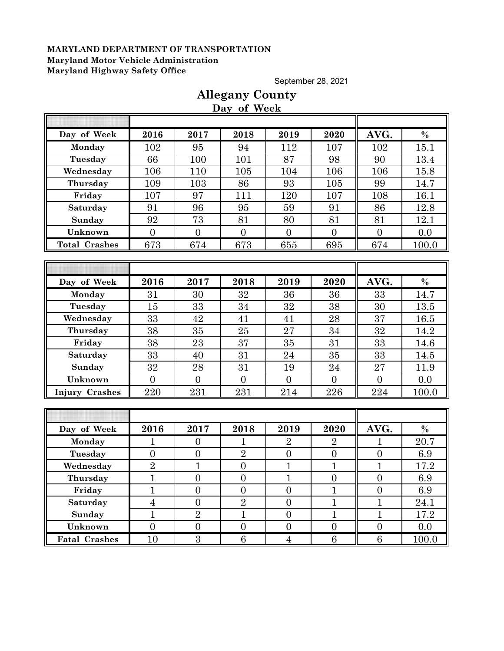September 28, 2021

|                       |                |                  | Day of Week      |                  |                  |                  |       |
|-----------------------|----------------|------------------|------------------|------------------|------------------|------------------|-------|
|                       |                |                  |                  |                  |                  |                  |       |
| Day of Week           | 2016           | 2017             | 2018             | 2019             | 2020             | AVG.             | $\%$  |
| Monday                | 102            | 95               | 94               | 112              | 107              | 102              | 15.1  |
| Tuesday               | 66             | 100              | 101              | 87               | 98               | 90               | 13.4  |
| Wednesday             | 106            | 110              | 105              | 104              | 106              | 106              | 15.8  |
| Thursday              | 109            | 103              | 86               | 93               | 105              | 99               | 14.7  |
| Friday                | 107            | 97               | 111              | 120              | 107              | 108              | 16.1  |
| Saturday              | 91             | 96               | 95               | 59               | 91               | 86               | 12.8  |
| Sunday                | 92             | 73               | 81               | 80               | 81               | 81               | 12.1  |
| Unknown               | $\overline{0}$ | $\overline{0}$   | $\overline{0}$   | $\overline{0}$   | $\overline{0}$   | $\overline{0}$   | 0.0   |
| <b>Total Crashes</b>  | 673            | 674              | 673              | 655              | 695              | 674              | 100.0 |
|                       |                |                  |                  |                  |                  |                  |       |
|                       |                |                  |                  |                  |                  |                  |       |
| Day of Week           | 2016           | 2017             | 2018             | 2019             | 2020             | AVG.             | $\%$  |
| Monday                | 31             | 30               | 32               | 36               | 36               | 33               | 14.7  |
| Tuesday               | 15             | 33               | 34               | 32               | 38               | 30               | 13.5  |
| Wednesday             | 33             | 42               | 41               | 41               | 28               | 37               | 16.5  |
| Thursday              | 38             | 35               | 25               | 27               | 34               | 32               | 14.2  |
| Friday                | 38             | 23               | 37               | 35               | 31               | 33               | 14.6  |
| Saturday              | 33             | 40               | 31               | 24               | 35               | 33               | 14.5  |
| Sunday                | 32             | 28               | 31               | 19               | 24               | 27               | 11.9  |
| Unknown               | $\overline{0}$ | $\overline{0}$   | $\overline{0}$   | $\overline{0}$   | $\overline{0}$   | $\overline{0}$   | 0.0   |
| <b>Injury Crashes</b> | 220            | 231              | 231              | 214              | 226              | 224              | 100.0 |
|                       |                |                  |                  |                  |                  |                  |       |
|                       |                |                  |                  |                  |                  |                  |       |
| Day of Week           | 2016           | 2017             | 2018             | 2019             | 2020             | AVG.             | $\%$  |
| Monday                | 1              | $\overline{0}$   | 1                | $\overline{2}$   | $\overline{2}$   | 1                | 20.7  |
| Tuesday               | $\overline{0}$ | $\overline{0}$   | $\overline{2}$   | $\overline{0}$   | $\overline{0}$   | $\overline{0}$   | 6.9   |
| Wednesday             | $\overline{2}$ | $\mathbf{1}$     | $\overline{0}$   | $\mathbf{1}$     | $\mathbf{1}$     | $\mathbf{1}$     | 17.2  |
| Thursday              | 1              | $\boldsymbol{0}$ | $\boldsymbol{0}$ | $\mathbf 1$      | $\boldsymbol{0}$ | $\boldsymbol{0}$ | 6.9   |
| Friday                | $\mathbf{1}$   | $\overline{0}$   | $\boldsymbol{0}$ | $\overline{0}$   | $\mathbf{1}$     | $\boldsymbol{0}$ | 6.9   |
| Saturday              | $\overline{4}$ | $\overline{0}$   | $\overline{2}$   | $\overline{0}$   | $\mathbf{1}$     | $\mathbf{1}$     | 24.1  |
| Sunday                | $\mathbf{1}$   | $\overline{2}$   | $\mathbf{1}$     | $\boldsymbol{0}$ | $\mathbf{1}$     | $\mathbf{1}$     | 17.2  |
| Unknown               | $\overline{0}$ | $\boldsymbol{0}$ | $\boldsymbol{0}$ | $\overline{0}$   | $\overline{0}$   | $\boldsymbol{0}$ | 0.0   |
| <b>Fatal Crashes</b>  | 10             | $\boldsymbol{3}$ | $6\phantom{.}$   | $\overline{4}$   | 6                | $\,6\,$          | 100.0 |

# **Allegany County**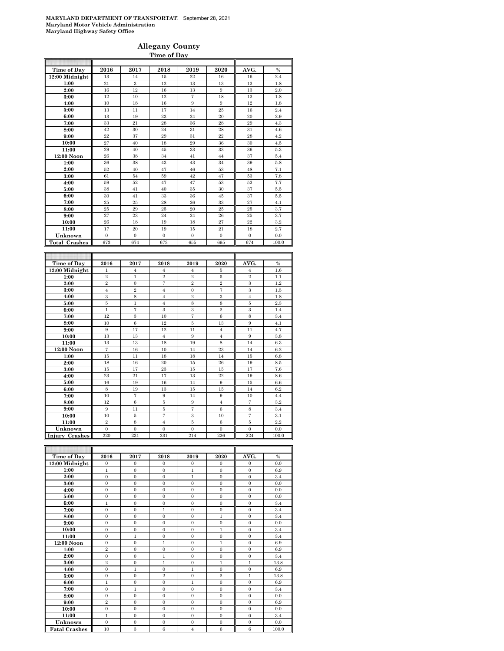### **Allegany County Time of Day**

| Time of Day          | 2016           | 2017                 | 2018           | 2019              | 2020                    | AVG.           | $\frac{0}{0}$ |
|----------------------|----------------|----------------------|----------------|-------------------|-------------------------|----------------|---------------|
| 12:00 Midnight       | 13             | 14                   | 15             | 22                | 16                      | 16             | 2.4           |
| 1:00                 | 21             | 3                    | 12             | 13                | 13                      | 12             | 1.8           |
| 2:00                 | 16             | 12                   | 16             | 13                | 9                       | 13             | 2.0           |
| 3:00                 | 12             | 10                   | 12             | $\scriptstyle{7}$ | 18                      | 12             | 1.8           |
| 4:00                 | 10             | 18                   | 16             | 9                 | 9                       | 12             | 1.8           |
| 5:00                 | 13             | 11                   | 17             | 14                | 25                      | 16             | 2.4           |
| 6:00                 | 13             | 19                   | 23             | 24                | 20                      | 20             | 2.9           |
| 7:00                 | 33             | 21                   | 28             | 36                | 28                      | 29             | 4.3           |
| 8:00                 | 42             | 30                   | 24             | 31                | 28                      | 31             | 4.6           |
| 9:00                 | $^{22}$        | 37                   | 29             | 31                | 22                      | 28             | 4.2           |
| 10:00                | 27             | 40                   | 18             | 29                | 36                      | 30             | 4.5           |
| 11:00                | 29             | 40                   | 45             | 33                | 33                      | 36             | 5.3           |
| 12:00 Noon           | 26             | 38                   | 34             | 41                | 44                      | 37             | 5.4           |
| 1:00                 | 36             | 38                   | 43             | 43                | 34                      | 39             | 5.8           |
| 2:00                 | 52             | 40                   | 47             | 46                | 53                      | 48             | 7.1           |
| 3:00                 | 61             | 54                   | 59             | 42                | 47                      | 53             | 7.8           |
| 4:00                 | 59             | 52                   | 47             | 47                | 53                      | 52             | 7.7           |
| 5:00                 | 38             | 41                   | 40             | 35                | 30                      | 37             | 5.5           |
| 6:00                 | 30             | 41                   | 33             | 36                | 45                      | 37             | 5.5           |
| 7:00                 | 25             | 25                   | 28             | 26                | 33                      | 27             | 4.1           |
| 8:00                 | 25             | 29                   | 25             | 20                | 25                      | 25             | 3.7           |
| 9:00                 | 27             | 23                   | 24             | 24                | 26                      | 25             | 3.7           |
| 10:00                | 26             | 18                   | 19             | 18                | 27                      | 22             | 3.2           |
| 11:00                | 17             | 20                   | 19             | 15                | 21                      | 18             | 2.7           |
| Unknown              | $\overline{0}$ | $\overline{0}$       | $\mathbf{0}$   | $\overline{0}$    | $\mathbf{0}$            | $\mathbf{0}$   | 0.0           |
| <b>Total Crashes</b> | 673            | 674                  | 673            | 655               | 695                     | 674            | 100.0         |
|                      |                |                      |                |                   |                         |                |               |
|                      |                |                      |                |                   |                         |                |               |
| Time of Day          | 2016           | 2017                 | 2018           | 2019              | 2020                    | AVG.           | $\frac{0}{0}$ |
| 12:00 Midnight       | 1              | $\overline{4}$       | $\overline{4}$ | $\overline{4}$    | 5                       | $\overline{4}$ | 1.6           |
| 1:00                 | $\overline{2}$ | 1                    | $\,2$          | $\overline{2}$    | 5                       | $\,2\,$        | 1.1           |
| 2:00                 | $\overline{2}$ | $\boldsymbol{0}$     | $\overline{7}$ | $\overline{2}$    | $\,2\,$                 | 3              | 1.2           |
| 3:00                 | $\overline{4}$ | $\overline{2}$       | $\overline{4}$ | $\overline{0}$    | $\overline{7}$          | 3              | 1.5           |
| 4:00                 | $\overline{3}$ | 8                    | $\overline{4}$ | $\overline{2}$    | $\overline{\mathbf{3}}$ | $\overline{4}$ | 1.8           |
| 5:00                 | 5              | $\mathbf{1}$         | $\overline{4}$ | 8                 | 8                       | 5              | 2.3           |
| 6:00                 | $\mathbf 1$    | $\overline{7}$       | 3              | 3                 | $\overline{2}$          | 3              | 1.4           |
| 7:00                 | 12             | 3                    | 10             | $\scriptstyle{7}$ | 6                       | 8              | 3.4           |
| 8:00                 | 10             | 6                    | 12             | 5                 | 13                      | 9              | 4.1           |
| 9:00                 | 9              | 17                   | 12             | 11                | $\overline{4}$          | 11             | 4.7           |
| 10:00                | 13             | 13                   | $\overline{4}$ | $\,9$             | $\overline{4}$          | 9              | 3.8           |
| 11:00                | 13             | 13                   | 18             | 19                | 8                       | 14             | 6.3           |
| 12:00 Noon           | $\overline{7}$ | 16                   | 10             | 14                | 23                      | 14             | 6.2           |
| 1:00                 | 15             | 11                   | 18             | 18                | 14                      | 15             | 6.8           |
| 2:00                 | 18             | 16                   | 20             | 15                | 26                      | 19             | 8.5           |
| 3:00                 | 15             | 17                   | 23             | 15                | 15                      | 17             | 7.6           |
| 4:00                 | 23             | 21                   | 17             | 13                | 22                      | 19             | 8.6           |
| 5:00                 | 16             | 19                   | 16             | 14                | 9                       | 15             | 6.6           |
| 6:00                 | 8<br>10        | 19<br>$\overline{7}$ | 13<br>9        | 15<br>14          | 15<br>9                 | 14<br>10       | 6.2           |
| 7:00                 |                |                      |                |                   |                         |                | 4.4           |

**8:00** 12 6 5 9 4 7 3.2 **9:00** 9 11 5 7 6 8 3.4 **10:00** 10 5 7 3 10 7 3.1 **11:00** 2 8 4 5 6 5 2.2 **Unknown** 0 0 0 0 0 0 0.0 **Injury Crashes** 220 231 231 214 226 224 100.0 F

| Time of Day          | 2016           | 2017           | 2018             | 2019           | 2020           | AVG.             | $\%$  |
|----------------------|----------------|----------------|------------------|----------------|----------------|------------------|-------|
| 12:00 Midnight       | $\mathbf{0}$   | $\mathbf{0}$   | $\mathbf{0}$     | $\mathbf{0}$   | $\mathbf{0}$   | $\mathbf{0}$     | 0.0   |
| 1:00                 | $\mathbf{1}$   | $\overline{0}$ | $\mathbf{0}$     | $\,1$          | $\mathbf{0}$   | $\mathbf{0}$     | 6.9   |
| 2:00                 | $\overline{0}$ | $\mathbf{0}$   | $\mathbf{0}$     | $\mathbf{1}$   | $\mathbf{0}$   | $\mathbf{0}$     | 3.4   |
| 3:00                 | $\mathbf{0}$   | $\mathbf{0}$   | $\mathbf{0}$     | $\mathbf{0}$   | $\mathbf{0}$   | $\mathbf{0}$     | 0.0   |
| 4:00                 | $\mathbf{0}$   | $\overline{0}$ | $\mathbf{0}$     | $\mathbf{0}$   | $\mathbf{0}$   | $\mathbf{0}$     | 0.0   |
| 5:00                 | $\mathbf{0}$   | $\overline{0}$ | $\mathbf{0}$     | $\mathbf{0}$   | $\mathbf{0}$   | $\mathbf{0}$     | 0.0   |
| 6:00                 | $\mathbf{1}$   | $\overline{0}$ | $\mathbf{0}$     | $\mathbf{0}$   | $\mathbf{0}$   | $\mathbf{0}$     | 3.4   |
| 7:00                 | $\mathbf{0}$   | $\overline{0}$ | $\mathbf{1}$     | $\mathbf{0}$   | $\overline{0}$ | $\mathbf{0}$     | 3.4   |
| 8:00                 | $\mathbf{0}$   | $\overline{0}$ | $\boldsymbol{0}$ | $\mathbf{0}$   | $\mathbf 1$    | $\mathbf{0}$     | 3.4   |
| 9:00                 | $\mathbf{0}$   | $\overline{0}$ | $\overline{0}$   | $\mathbf{0}$   | $\overline{0}$ | $\mathbf{0}$     | 0.0   |
| 10:00                | $\mathbf{0}$   | $\overline{0}$ | $\mathbf{0}$     | $\mathbf{0}$   | $\mathbf{1}$   | $\mathbf{0}$     | 3.4   |
| 11:00                | $\mathbf{0}$   | $\mathbf{1}$   | $\overline{0}$   | $\mathbf{0}$   | $\overline{0}$ | $\mathbf{0}$     | 3.4   |
| 12:00 Noon           | $\mathbf{0}$   | $\overline{0}$ | $\mathbf{1}$     | $\mathbf{0}$   | $\mathbf{1}$   | $\mathbf{0}$     | 6.9   |
| 1:00                 | $\overline{2}$ | $\overline{0}$ | $\overline{0}$   | $\mathbf{0}$   | $\overline{0}$ | $\mathbf{0}$     | 6.9   |
| 2:00                 | $\mathbf{0}$   | $\overline{0}$ | $\mathbf{1}$     | $\mathbf{0}$   | $\mathbf{0}$   | $\mathbf{0}$     | 3.4   |
| 3:00                 | $\overline{2}$ | $\overline{0}$ | $\mathbf{1}$     | $\mathbf{0}$   | $\mathbf{1}$   | $\mathbf{1}$     | 13.8  |
| 4:00                 | $\mathbf{0}$   | $\mathbf{1}$   | $\mathbf{0}$     | $\mathbf{1}$   | $\overline{0}$ | $\mathbf{0}$     | 6.9   |
| 5:00                 | $\mathbf{0}$   | $\overline{0}$ | $\overline{2}$   | $\mathbf{0}$   | $\overline{2}$ | $\mathbf{1}$     | 13.8  |
| 6:00                 | $\mathbf{1}$   | $\mathbf{0}$   | $\mathbf{0}$     | $\mathbf{1}$   | $\mathbf{0}$   | $\mathbf{0}$     | 6.9   |
| 7:00                 | $\mathbf{0}$   | $\mathbf{1}$   | $\mathbf{0}$     | $\mathbf{0}$   | $\mathbf{0}$   | $\mathbf{0}$     | 3.4   |
| 8:00                 | $\mathbf{0}$   | $\overline{0}$ | $\mathbf{0}$     | $\mathbf{0}$   | $\overline{0}$ | $\mathbf{0}$     | 0.0   |
| 9:00                 | $\overline{2}$ | $\mathbf{0}$   | $\mathbf{0}$     | $\mathbf{0}$   | $\mathbf{0}$   | $\mathbf{0}$     | 6.9   |
| 10:00                | $\mathbf{0}$   | $\mathbf{0}$   | $\mathbf{0}$     | $\mathbf{0}$   | $\mathbf{0}$   | $\mathbf{0}$     | 0.0   |
| 11:00                | $\mathbf{1}$   | $\mathbf{0}$   | $\mathbf{0}$     | $\mathbf{0}$   | $\mathbf{0}$   | $\mathbf{0}$     | 3.4   |
| Unknown              | $\mathbf{0}$   | $\overline{0}$ | $\boldsymbol{0}$ | $\mathbf{0}$   | $\mathbf{0}$   | $\boldsymbol{0}$ | 0.0   |
| <b>Fatal Crashes</b> | 10             | $\overline{3}$ | $\overline{6}$   | $\overline{4}$ | 6              | $\overline{6}$   | 100.0 |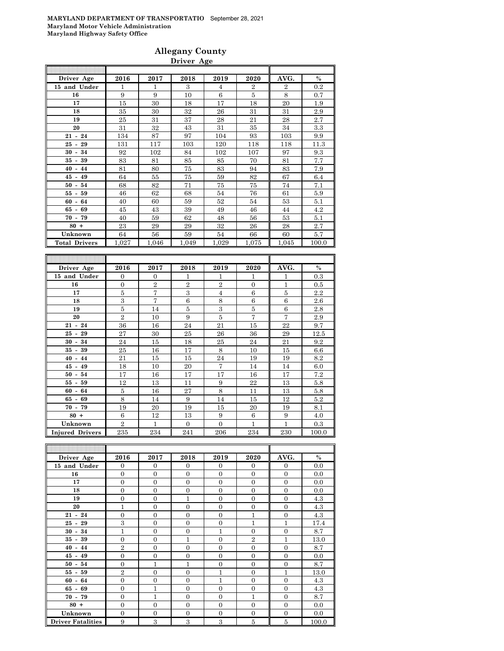### **Allegany County Driver Age**

| Driver Age           | 2016             | 2017           | 2018           | 2019           | 2020           | AVG.             | $\%$              |
|----------------------|------------------|----------------|----------------|----------------|----------------|------------------|-------------------|
| 15 and Under         | 1                | 1              | 3              | $\overline{4}$ | $\overline{2}$ | $\overline{2}$   | 0.2               |
| 16                   | $\boldsymbol{9}$ | 9              | 10             | 6              | $\bf 5$        | 8                | 0.7               |
| 17                   | 15               | 30             | 18             | 17             | 18             | 20               | 1.9               |
| 18                   | 35               | 30             | 32             | 26             | 31             | 31               | 2.9               |
| 19                   | 25               | 31             | 37             | 28             | 21             | 28               | 2.7               |
| 20                   | 31               | 32             | 43             | 31             | 35             | 34               | 3.3               |
| $21 - 24$            | 134              | 87             | 97             | 104            | 93             | 103              | 9.9               |
| $25 - 29$            | 131              | 117            | 103            | 120            | 118            | 118              | 11.3              |
| $30 - 34$            | 92               | 102            | 84             | 102            | 107            | 97               | 9.3               |
| 39<br>$35 -$         | 83               | 81             | 85             | 85             | 70             | 81               | 7.7               |
| $40 - 44$            | 81               | 80             | 75             | 83             | 94             | 83               | 7.9               |
| $45 - 49$            | 64               | 55             | 75             | 59             | 82             | 67               | 6.4               |
| $50 - 54$            | 68               | 82             | 71             | 75             | 75             | 74               | 7.1               |
| $55 - 59$            | 46               | 62             | 68             | 54             | 76             | 61               | 5.9               |
| $60 - 64$            | 40               | 60             | 59             | 52             | 54             | 53               | 5.1               |
| $65 - 69$            | 45               | 43             | 39             | 49             | 46             | 44               | 4.2               |
| $70 - 79$            | 40               | 59             | 62             | 48             | 56             | 53               | 5.1               |
| $80 +$               | 23               | 29             | 29             | 32             | 26             | 28               | 2.7               |
| Unknown              | 64               | 56             | 59             | 54             | 66             | 60               | 5.7               |
| <b>Total Drivers</b> | 1,027            | 1,046          | 1,049          | 1,029          | 1,075          | 1,045            | 100.0             |
|                      |                  |                |                |                |                |                  |                   |
|                      |                  |                |                |                |                |                  |                   |
| Driver Age           | 2016             | 2017           | 2018           | 2019           | 2020           | AVG.             | $\%$              |
| 15 and Under         | $\overline{0}$   | $\overline{0}$ | 1              | 1              | 1              | 1                | 0.3               |
| 16                   | $\overline{0}$   | $\overline{2}$ | $\overline{2}$ | $\overline{2}$ | $\overline{0}$ | 1                | 0.5               |
| 17                   | 5                | 7              | 3              | $\overline{4}$ | 6              | 5                | 2.2               |
| 18                   | 3                | $\overline{7}$ | $\,6$          | 8              | $\,6$          | $\,6\,$          | 2.6               |
| 19                   | $\overline{5}$   | 14             | $\bf 5$        | 3              | $\bf 5$        | $\boldsymbol{6}$ | 2.8               |
| 20                   | $\overline{2}$   | 10             | 9              | 5              | 7              | $\overline{7}$   | 2.9               |
| $21 - 24$            | 36               | 16             | 24             | 21             | 15             | 22               | 9.7               |
| $25 - 29$            | 27               | 30             | 25             | 26             | 36             | 29               | 12.5              |
| $30 - 34$            | 24               | 15             | 18             | 25             | 24             | 21               | 9.2               |
| $35 - 39$            | 25               | 16             | 17             | 8              | 10             | 15               | 6.6               |
| $40 - 44$            | 21               | 15             | 15             | 24             | 19             | 19               | 8.2               |
| $45 - 40$            | 1 <sub>O</sub>   | 1 <sub>0</sub> | $\Omega$       | $\overline{7}$ | 14             | 14               | $\alpha$ $\alpha$ |

| 35 - 39                | 25             | 16. |     | ਨ        | 10. | G I | 6.6   |
|------------------------|----------------|-----|-----|----------|-----|-----|-------|
| $40 - 44$              | 21             | 15  | 15  | 24       | 19  | 19  | 8.2   |
| $45 - 49$              | 18             | 10  | 20  |          | 14  | 14  | 6.0   |
| $50 - 54$              | 17             | 16  | 17  | 17       | 16  | 17  | 7.2   |
| $55 - 59$              | 12             | 13  | 11  | 9        | 22  | 13  | 5.8   |
| $60 - 64$              | 5              | 16  | 27  | 8        | 11  | 13  | 5.8   |
| $65 - 69$              | 8              | 14  | 9   | 14       | 15  | 12  | 5.2   |
| $70 - 79$              | 19             | 20  | 19  | 15       | 20  | 19  | 8.1   |
| $80 +$                 | 6              | 12  | 13  | 9        | 6   | 9   | 4.0   |
| Unknown                | $\overline{2}$ |     | 0   | $\Omega$ |     |     | 0.3   |
| <b>Injured Drivers</b> | 235            | 234 | 241 | 206      | 234 | 230 | 100.0 |

| Driver Age               | 2016           | 2017           | 2018           | 2019           | 2020           | AVG.           | $\%$  |
|--------------------------|----------------|----------------|----------------|----------------|----------------|----------------|-------|
| 15 and Under             | $\mathbf{0}$   | $\theta$       | $\mathbf{0}$   | $\theta$       | $\mathbf{0}$   | $\overline{0}$ | 0.0   |
| 16                       | $\overline{0}$ | $\overline{0}$ | $\overline{0}$ | $\theta$       | $\overline{0}$ | $\Omega$       | 0.0   |
| 17                       | $\overline{0}$ | $\overline{0}$ | $\overline{0}$ | $\overline{0}$ | $\mathbf{0}$   | $\overline{0}$ | 0.0   |
| 18                       | $\overline{0}$ | $\overline{0}$ | $\overline{0}$ | $\Omega$       | $\overline{0}$ | $\overline{0}$ | 0.0   |
| 19                       | $\overline{0}$ | $\overline{0}$ | 1              | $\Omega$       | $\mathbf{0}$   | $\Omega$       | 4.3   |
| 20                       | 1              | $\overline{0}$ | $\overline{0}$ | $\theta$       | $\overline{0}$ | $\overline{0}$ | 4.3   |
| $21 - 24$                | $\overline{0}$ | $\overline{0}$ | $\Omega$       | $\Omega$       | 1              | $\overline{0}$ | 4.3   |
| $25 - 29$                | 3              | $\overline{0}$ | $\overline{0}$ | $\theta$       | $\overline{1}$ | $\mathbf{1}$   | 17.4  |
| $30 - 34$                | 1              | $\overline{0}$ | $\overline{0}$ | 1              | $\overline{0}$ | $\overline{0}$ | 8.7   |
| $35 - 39$                | $\overline{0}$ | $\overline{0}$ | 1              | $\theta$       | $\overline{2}$ | $\mathbf{1}$   | 13.0  |
| $40 - 44$                | $\overline{2}$ | $\overline{0}$ | $\overline{0}$ | $\Omega$       | $\Omega$       | $\Omega$       | 8.7   |
| $45 - 49$                | $\overline{0}$ | $\overline{0}$ | $\overline{0}$ | $\theta$       | $\mathbf{0}$   | $\overline{0}$ | 0.0   |
| $50 - 54$                | $\overline{0}$ | $\mathbf{1}$   | 1              | $\theta$       | $\mathbf{0}$   | $\overline{0}$ | 8.7   |
| $55 - 59$                | $\overline{2}$ | $\overline{0}$ | $\Omega$       | 1              | $\mathbf{0}$   | $\mathbf{1}$   | 13.0  |
| $60 - 64$                | $\overline{0}$ | $\overline{0}$ | $\Omega$       | 1              | $\Omega$       | $\theta$       | 4.3   |
| $65 - 69$                | $\mathbf{0}$   | $\mathbf{1}$   | $\overline{0}$ | $\Omega$       | $\overline{0}$ | $\Omega$       | 4.3   |
| $70 - 79$                | $\overline{0}$ | $\mathbf{1}$   | $\Omega$       | $\Omega$       | 1              | $\overline{0}$ | 8.7   |
| $80 +$                   | $\overline{0}$ | $\overline{0}$ | $\overline{0}$ | $\overline{0}$ | $\overline{0}$ | $\overline{0}$ | 0.0   |
| Unknown                  | $\overline{0}$ | $\overline{0}$ | $\overline{0}$ | $\theta$       | $\overline{0}$ | $\overline{0}$ | 0.0   |
| <b>Driver Fatalities</b> | 9              | 3              | 3              | 3              | $\bf 5$        | 5              | 100.0 |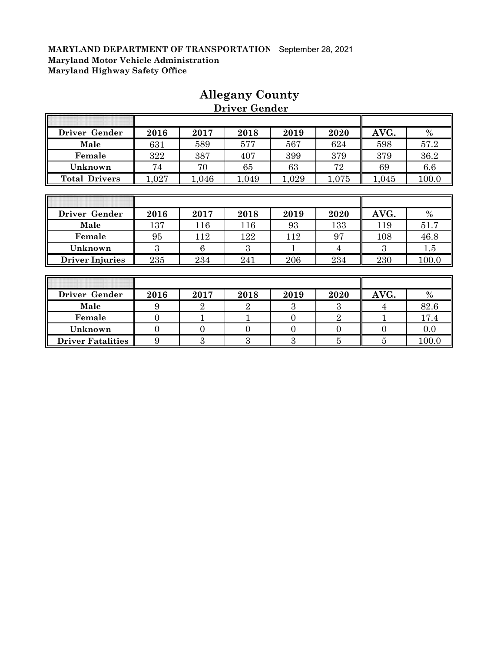Г

| Driver Gender          | 2016  | 2017           | 2018           | 2019  | 2020  | AVG.  | $\frac{0}{0}$ |
|------------------------|-------|----------------|----------------|-------|-------|-------|---------------|
| Male                   | 631   | 589            | 577            | 567   | 624   | 598   | 57.2          |
| Female                 | 322   | 387            | 407            | 399   | 379   | 379   | 36.2          |
| Unknown                | 74    | 70             | 65             | 63    | 72    | 69    | 6.6           |
| <b>Total Drivers</b>   | 1,027 | 1,046          | 1,049          | 1,029 | 1,075 | 1,045 | 100.0         |
|                        |       |                |                |       |       |       |               |
|                        |       |                |                |       |       |       |               |
| Driver Gender          | 2016  | 2017           | 2018           | 2019  | 2020  | AVG.  | $\%$          |
| Male                   | 137   | 116            | 116            | 93    | 133   | 119   | 51.7          |
| Female                 | 95    | 112            | 122            | 112   | 97    | 108   | 46.8          |
| Unknown                | 3     | 6              | 3              |       | 4     | 3     | 1.5           |
| <b>Driver Injuries</b> | 235   | 234            | 241            | 206   | 234   | 230   | 100.0         |
|                        |       |                |                |       |       |       |               |
|                        |       |                |                |       |       |       |               |
| Driver Gender          | 2016  | 2017           | 2018           | 2019  | 2020  | AVG.  | $\frac{0}{0}$ |
| Male                   | 9     | $\overline{2}$ | $\overline{2}$ | 3     | 3     | 4     | 82.6          |

### **Allegany County Driver Gender**

ĪĪ

╗

| Driver Gender            | 2016 | 2017 | 2018 | 2019 | 2020 | AVG. | $\%$  |
|--------------------------|------|------|------|------|------|------|-------|
| Male                     |      |      |      |      |      |      | 82.6  |
| Female                   |      |      |      |      |      |      |       |
| Unknown                  |      |      |      |      |      |      |       |
| <b>Driver Fatalities</b> |      |      |      |      |      |      | 100.0 |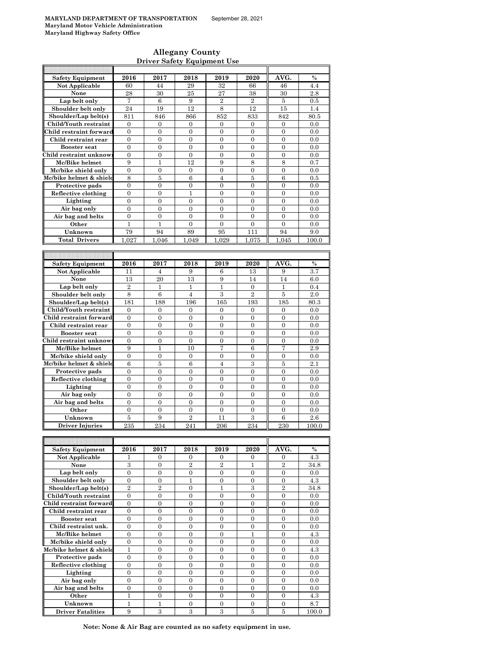$\mathsf{r}$ 

### **Allegany County Driver Safety Equipment Use**

| <b>Safety Equipment</b> | 2016             | 2017                 | 2018                | 2019                 | 2020             | AVG.                     | $\%$  |
|-------------------------|------------------|----------------------|---------------------|----------------------|------------------|--------------------------|-------|
| Not Applicable          | 60               | 44                   | 29                  | 32                   | 66               | 46                       | 4.4   |
| None                    | 28               | 30                   | 25                  | 27                   | 38               | 30                       | 2.8   |
| Lap belt only           | 7                | 6                    | 9                   | $\boldsymbol{2}$     | $\boldsymbol{2}$ | 5                        | 0.5   |
| Shoulder belt only      | 24               | 19                   | 12                  | 8                    | 12               | 15                       | 1.4   |
| Shoulder/Lap belt(s)    | 811              | 846                  | 866                 | 852                  | 833              | 842                      | 80.5  |
| Child/Youth restraint   | 0                | 0                    | 0                   | 0                    | 0                | 0                        | 0.0   |
| Child restraint forward | $\mathbf{0}$     | $\boldsymbol{0}$     | $\boldsymbol{0}$    | $\overline{0}$       | $\overline{0}$   | $\boldsymbol{0}$         | 0.0   |
| Child restraint rear    | $\boldsymbol{0}$ | $\boldsymbol{0}$     | $\boldsymbol{0}$    | $\boldsymbol{0}$     | $\boldsymbol{0}$ | $\boldsymbol{0}$         | 0.0   |
| <b>Booster seat</b>     | $\overline{0}$   | $\overline{0}$       | $\overline{0}$      | $\overline{0}$       | $\mathbf{0}$     | $\boldsymbol{0}$         | 0.0   |
| Child restraint unknow  | $\boldsymbol{0}$ | $\boldsymbol{0}$     | $\boldsymbol{0}$    | $\boldsymbol{0}$     | $\boldsymbol{0}$ | $\boldsymbol{0}$         | 0.0   |
| Mc/Bike helmet          | 9                | $\mathbf{1}$         | 12                  | 9                    | 8                | 8                        | 0.7   |
| Mc/bike shield only     | $\mathbf{0}$     | $\overline{0}$       | $\overline{0}$      | $\overline{0}$       | $\overline{0}$   | $\overline{0}$           | 0.0   |
| Mc/bike helmet & shield | 8                | 5                    | 6                   | $\overline{4}$       | 5                | 6                        | 0.5   |
| Protective pads         | 0                | $\mathbf{0}$         | 0                   | $\overline{0}$       | $\boldsymbol{0}$ | $\boldsymbol{0}$         | 0.0   |
| Reflective clothing     | $\boldsymbol{0}$ | $\boldsymbol{0}$     | 1                   | $\boldsymbol{0}$     | 0                | $\boldsymbol{0}$         | 0.0   |
| Lighting                | $\overline{0}$   | $\overline{0}$       | $\overline{0}$      | $\overline{0}$       | $\overline{0}$   | $\overline{0}$           | 0.0   |
| Air bag only            | $\boldsymbol{0}$ | $\boldsymbol{0}$     | $\mathbf{0}$        | $\boldsymbol{0}$     | 0                | $\boldsymbol{0}$         | 0.0   |
|                         | $\mathbf{0}$     | $\mathbf{0}$         | $\overline{0}$      | $\overline{0}$       | $\overline{0}$   | $\overline{0}$           | 0.0   |
| Air bag and belts       |                  |                      |                     |                      |                  |                          |       |
| Other                   | 1                | 1                    | $\boldsymbol{0}$    | 0                    | $\boldsymbol{0}$ | $\boldsymbol{0}$         | 0.0   |
| Unknown                 | 79               | 94                   | 89                  | 95                   | 111              | 94                       | 9.0   |
| <b>Total Drivers</b>    | 1.027            | 1.046                | 1.049               | 1.029                | 1.075            | 1.045                    | 100.0 |
|                         |                  |                      |                     |                      |                  |                          |       |
|                         |                  |                      |                     |                      |                  |                          |       |
| <b>Safety Equipment</b> | 2016             | 2017                 | 2018                | 2019                 | 2020             | AVG.                     | $\%$  |
| Not Applicable          | 11               | 4                    | 9                   | 6                    | 13               | 9                        | 3.7   |
| None                    | 13               | 20                   | 13                  | 9                    | 14               | 14                       | 6.0   |
| Lap belt only           | $\overline{2}$   | 1                    | 1                   | $\mathbf{1}$         | $\boldsymbol{0}$ | 1                        | 0.4   |
| Shoulder belt only      | 8                | 6                    | $\overline{4}$      | 3                    | $\overline{2}$   | 5                        | 2.0   |
| Shoulder/Lap belt(s)    | 181              | 188                  | 196                 | 165                  | 193              | 185                      | 80.3  |
| Child/Youth restraint   | $\mathbf{0}$     | $\mathbf{0}$         | $\mathbf{0}$        | $\mathbf{0}$         | 0                | 0                        | 0.0   |
| Child restraint forward | $\boldsymbol{0}$ | $\boldsymbol{0}$     | $\mathbf{0}$        | $\boldsymbol{0}$     | $\boldsymbol{0}$ | $\boldsymbol{0}$         | 0.0   |
| Child restraint rear    | $\mathbf{0}$     | $\mathbf{0}$         | $\overline{0}$      | $\overline{0}$       | $\overline{0}$   | $\overline{0}$           | 0.0   |
| <b>Booster seat</b>     | $\mathbf{0}$     | $\mathbf{0}$         | $\overline{0}$      | $\overline{0}$       | $\overline{0}$   | $\overline{0}$           | 0.0   |
| Child restraint unknow  | $\boldsymbol{0}$ | $\boldsymbol{0}$     | 0                   | 0                    | $\boldsymbol{0}$ | $\boldsymbol{0}$         | 0.0   |
| Mc/Bike helmet          | 9                | $\mathbf{1}$         | 10                  | 7                    | $\,6$            | 7                        | 2.9   |
| Mc/bike shield only     | $\boldsymbol{0}$ | $\boldsymbol{0}$     | $\boldsymbol{0}$    | $\boldsymbol{0}$     | $\boldsymbol{0}$ | $\boldsymbol{0}$         | 0.0   |
| Mc/bike helmet & shield | $\boldsymbol{6}$ | 5                    | 6                   | $\overline{4}$       | $\,3$            | $\bf 5$                  | 2.1   |
| Protective pads         | $\boldsymbol{0}$ | $\boldsymbol{0}$     | $\boldsymbol{0}$    | $\boldsymbol{0}$     | 0                | $\boldsymbol{0}$         | 0.0   |
| Reflective clothing     | $\boldsymbol{0}$ | $\overline{0}$       | $\overline{0}$      | $\overline{0}$       | $\boldsymbol{0}$ | $\overline{0}$           | 0.0   |
| Lighting                | $\boldsymbol{0}$ | $\boldsymbol{0}$     | $\boldsymbol{0}$    | $\boldsymbol{0}$     | $\boldsymbol{0}$ | $\boldsymbol{0}$         | 0.0   |
| Air bag only            | $\overline{0}$   | $\mathbf{0}$         | $\overline{0}$      | $\overline{0}$       | $\overline{0}$   | $\overline{0}$           | 0.0   |
| Air bag and belts       | $\boldsymbol{0}$ | $\boldsymbol{0}$     | $\overline{0}$      | $\boldsymbol{0}$     | $\boldsymbol{0}$ | $\boldsymbol{0}$         | 0.0   |
| Other                   | $\mathbf{0}$     | $\boldsymbol{0}$     | 0                   | $\overline{0}$       | $\boldsymbol{0}$ | $\boldsymbol{0}$         | 0.0   |
| Unknown                 | 5                | 9                    | $\overline{2}$      | 11                   | 3                | 6                        | 2.6   |
|                         |                  |                      | 241                 |                      |                  |                          |       |
| Driver Injuries         | 235              | 234                  |                     | 206                  | 234              | 230                      | 100.0 |
|                         |                  |                      |                     |                      |                  |                          |       |
|                         |                  |                      |                     |                      |                  |                          | %     |
| <b>Safety Equipment</b> | 2016<br>1        | 2017<br>$\mathbf{0}$ | 2018                | 2019<br>$\mathbf{0}$ | 2020             | AVG.<br>$\boldsymbol{0}$ | 4.3   |
| Not Applicable          | $\,3$            | $\boldsymbol{0}$     | 0<br>$\overline{2}$ | $\overline{2}$       | 0<br>1           | $\,2$                    |       |
| None<br>Lap belt only   | $\overline{0}$   |                      |                     | $\boldsymbol{0}$     |                  | $\boldsymbol{0}$         | 34.8  |
|                         |                  | $\boldsymbol{0}$     | $\boldsymbol{0}$    |                      | $\boldsymbol{0}$ |                          | 0.0   |
| Shoulder belt only      | $\boldsymbol{0}$ | $\boldsymbol{0}$     | $\mathbf{1}$        | $\boldsymbol{0}$     | $\boldsymbol{0}$ | $\boldsymbol{0}$         | 4.3   |
| Shoulder/Lap belt(s)    | $\overline{2}$   | $\overline{2}$       | $\overline{0}$      | $\mathbf{1}$         | 3                | $\overline{2}$           | 34.8  |
| Child/Youth restraint   | $\boldsymbol{0}$ | $\overline{0}$       | $\overline{0}$      | $\overline{0}$       | $\overline{0}$   | $\overline{0}$           | 0.0   |
| Child restraint forward | 0                | $\boldsymbol{0}$     | 0                   | $\boldsymbol{0}$     | $\boldsymbol{0}$ | $\boldsymbol{0}$         | 0.0   |
| Child restraint rear    | $\boldsymbol{0}$ | $\mathbf{0}$         | $\boldsymbol{0}$    | $\boldsymbol{0}$     | $\boldsymbol{0}$ | $\boldsymbol{0}$         | 0.0   |
| <b>Booster seat</b>     | $\boldsymbol{0}$ | $\boldsymbol{0}$     | 0                   | $\boldsymbol{0}$     | $\boldsymbol{0}$ | $\boldsymbol{0}$         | 0.0   |
| Child restraint unk.    | $\overline{0}$   | $\overline{0}$       | $\overline{0}$      | $\overline{0}$       | $\mathbf{0}$     | $\overline{0}$           | 0.0   |
| Mc/Bike helmet          | $\boldsymbol{0}$ | $\boldsymbol{0}$     | $\boldsymbol{0}$    | $\boldsymbol{0}$     | 1                | $\boldsymbol{0}$         | 4.3   |
| Mc/bike shield only     | $\boldsymbol{0}$ | $\overline{0}$       | $\overline{0}$      | $\overline{0}$       | $\boldsymbol{0}$ | $\overline{0}$           | 0.0   |
| Mc/bike helmet & shield | 1                | $\boldsymbol{0}$     | 0                   | $\boldsymbol{0}$     | $\boldsymbol{0}$ | $\boldsymbol{0}$         | 4.3   |
| Protective pads         | $\mathbf{0}$     | $\overline{0}$       | $\overline{0}$      | $\overline{0}$       | $\overline{0}$   | $\overline{0}$           | 0.0   |
| Reflective clothing     | $\boldsymbol{0}$ | $\boldsymbol{0}$     | $\boldsymbol{0}$    | $\boldsymbol{0}$     | $\boldsymbol{0}$ | $\boldsymbol{0}$         | 0.0   |
| Lighting                | $\boldsymbol{0}$ | $\boldsymbol{0}$     | 0                   | $\overline{0}$       | $\overline{0}$   | $\overline{0}$           | 0.0   |
| Air bag only            | $\boldsymbol{0}$ | $\boldsymbol{0}$     | 0                   | $\boldsymbol{0}$     | $\boldsymbol{0}$ | $\boldsymbol{0}$         | 0.0   |
| Air bag and belts       | $\boldsymbol{0}$ | $\boldsymbol{0}$     | $\boldsymbol{0}$    | $\boldsymbol{0}$     | $\boldsymbol{0}$ | $\boldsymbol{0}$         | 0.0   |
| Other                   | $\mathbf{1}$     | $\mathbf{0}$         | $\overline{0}$      | $\overline{0}$       | $\overline{0}$   | $\overline{0}$           | 4.3   |
|                         |                  |                      |                     |                      |                  |                          |       |
| Unknown                 | 1                | 1                    | $\boldsymbol{0}$    | 0                    | 0                | 0                        | 8.7   |

**Note: None & Air Bag are counted as no safety equipment in use.**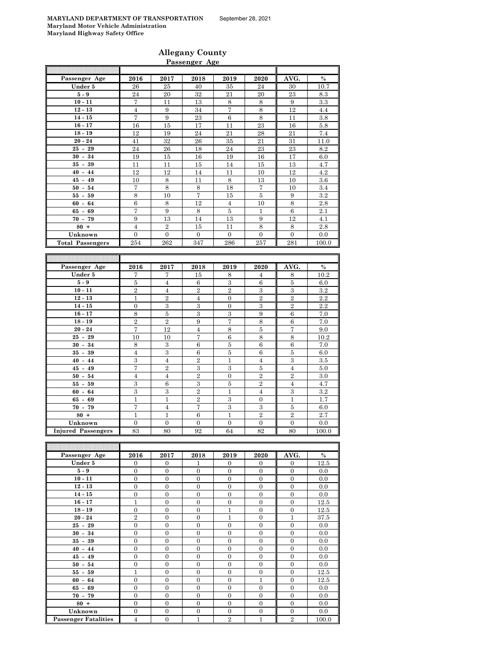### **Allegany County Passenger Age**

| Passenger Age           | 2016                           | 2017                           | 2018                               | 2019                           | 2020                         | AVG.                    | $\frac{0}{6}$    |
|-------------------------|--------------------------------|--------------------------------|------------------------------------|--------------------------------|------------------------------|-------------------------|------------------|
| Under 5                 | 26                             | 25                             | 40                                 | 35                             | 24                           | 30                      | 10.7             |
| $5-9$                   | 24                             | 20                             | $32\,$                             | 21                             | 20                           | 23                      | 8.3              |
| $10 - 11$               | 7                              | 11                             | 13                                 | 8                              | 8                            | 9                       | 3.3              |
| $12 - 13$               | $\overline{4}$                 | 9                              | 34                                 | $\overline{7}$                 | $\,8\,$                      | 12                      | 4.4              |
| $14 - 15$               | 7                              | 9                              | 23                                 | $\,6\,$                        | 8                            | 11                      | 3.8              |
| $16 - 17$               | 16                             | 15                             | 17                                 | 11                             | 23                           | 16                      | 5.8              |
| $18 - 19$               | 12                             | 19                             | 24                                 | 21                             | 28                           | 21                      | 7.4              |
| $20 - 24$               | 41                             | 32                             | 26                                 | 35                             | 21                           | 31                      | 11.0             |
| $25 - 29$               | 24                             | 26                             | 18                                 | 24                             | 23                           | 23                      | 8.2              |
| $30 - 34$               | 19                             | 15                             | 16                                 | 19                             | 16                           | 17                      | 6.0              |
| $35 - 39$               | 11                             | 11                             | 15                                 | 14                             | 15                           | 13                      | 4.7              |
| $40 - 44$               | 12                             | 12                             | 14                                 | 11                             | 10                           | 12                      | 4.2              |
| $45 - 49$               | 10                             | 8                              | 11                                 | 8                              | 13                           | 10                      | 3.6              |
| $50 - 54$               | 7                              | 8                              | $\,8\,$                            | 18                             | $\overline{7}$               | 10                      | 3.4              |
| $55 - 59$               | 8                              | 10                             | $\overline{7}$                     | 15                             | $\bf 5$                      | $\boldsymbol{9}$        | 3.2              |
| $60 - 64$               | $\overline{6}$                 | 8                              | $\overline{12}$                    | $\overline{4}$                 | 10                           | $\,8\,$                 | 2.8              |
| $65 - 69$               | 7                              | 9                              | $\,8\,$                            | $\bf 5$                        | $\mathbf{1}$                 | $\,6\,$                 | 2.1              |
| $70 - 79$               | 9                              | 13                             | 14                                 | 13                             | 9                            | 12                      | 4.1              |
| $80 +$                  | $\overline{4}$                 | $\overline{2}$                 | 15                                 | 11                             | 8                            | $\,8\,$                 | 2.8              |
| Unknown                 | $\overline{0}$                 | $\Omega$                       | $\Omega$                           | $\Omega$                       | $\Omega$                     | $\overline{0}$          | 0.0              |
| <b>Total Passengers</b> | 254                            | 262                            | 347                                | 286                            | 257                          | 281                     | 100.0            |
|                         |                                |                                |                                    |                                |                              |                         |                  |
|                         |                                |                                |                                    |                                |                              |                         |                  |
|                         |                                |                                |                                    |                                |                              |                         |                  |
| Passenger Age           | 2016                           | 2017                           | 2018                               | 2019                           | 2020                         | AVG.                    | $\frac{0}{6}$    |
| Under 5                 | 7                              | 7                              | 15                                 | 8                              | $\overline{4}$               | $\,8\,$                 | 10.2             |
| $5-9$                   | $\bf 5$                        | $\overline{4}$                 | $\,6\,$                            | $\overline{3}$                 | $\sqrt{6}$                   | $\overline{\mathbf{5}}$ | 6.0              |
| $10 - 11$               | $\overline{2}$                 | $\overline{4}$                 | $\,2$                              | $\overline{2}$                 | $\,3$                        | $\,3$                   | 3.2              |
| $12 - 13$               | $\mathbf{1}$                   | $\overline{2}$                 | $\overline{4}$                     | $\overline{0}$                 | $\overline{2}$               | $\overline{2}$          | 2.2              |
| $14 - 15$               | $\boldsymbol{0}$               | $\,3$                          | $\,3$                              | $\boldsymbol{0}$               | $\sqrt{3}$                   | $\sqrt{2}$              | $2.\overline{2}$ |
| $16 - 17$               | 8                              | $\bf 5$                        | 3                                  | $\,3\,$                        | $\boldsymbol{9}$             | $\,6\,$                 | 7.0              |
| $18 - 19$               | $\overline{2}$                 | $\,2\,$                        | $9\phantom{.0}$                    | 7                              | $\,8\,$                      | $\,6\,$                 | 7.0              |
| $20 - 24$               | 7                              | 12                             | $\overline{4}$                     | $\,8\,$                        | $\overline{5}$               | $\overline{7}$          | 9.0              |
| $25 - 29$               | 10                             | 10                             | 7                                  | $\,6$                          | $\,8\,$                      | 8                       | 10.2             |
| $30 - 34$               | 8                              | $\,3$                          | $\,6\,$                            | $\bf 5$                        | $\overline{6}$               | $\overline{6}$          | 7.0              |
| $35 - 39$               | $\overline{4}$                 | $\overline{3}$                 | $\,6$                              | $\bf 5$                        | 6                            | $\bf 5$                 | 6.0              |
| $40 - 44$               | 3                              | $\overline{4}$                 | $\overline{2}$                     | $\mathbf 1$                    | $\sqrt{4}$                   | $\boldsymbol{3}$        | 3.5              |
| $45 - 49$               | 7                              | $\,2$                          | $\,3$                              | $\,3$                          | 5                            | $\overline{4}$          | $5.0\,$          |
| $50 - 54$               | $\overline{4}$                 | $\overline{4}$                 | $\sqrt{2}$                         | $\overline{0}$                 | $\sqrt{2}$                   | $\sqrt{2}$              | 3.0              |
| $55 - 59$               | 3                              | $\,6$                          | $\,3$                              | $\bf 5$                        | $\,2$                        | $\overline{4}$          | 4.7              |
| $60 - 64$               | 3                              | $\,3$                          | $\sqrt{2}$                         | $\,1$                          | $\overline{4}$               | $\,3$                   | 3.2              |
| $65 - 69$               | $\mathbf{1}$                   | $\mathbf{1}$                   | $\,2$                              | $\,3$                          | $\overline{0}$               | $\mathbf{1}$            | 1.7              |
| $70 - 79$<br>$80 +$     | $\overline{7}$<br>$\mathbf{1}$ | $\overline{4}$<br>$\mathbf{1}$ | $\overline{\mathbf{7}}$<br>$\,6\,$ | $\overline{3}$<br>$\mathbf{1}$ | $\sqrt{3}$<br>$\overline{2}$ | $\bf 5$<br>$\sqrt{2}$   | 6.0<br>2.7       |

| Passenger Age               | 2016           | 2017           | 2018           | 2019           | 2020           | AVG.           | $\%$  |
|-----------------------------|----------------|----------------|----------------|----------------|----------------|----------------|-------|
| Under 5                     | $\mathbf{0}$   | $\mathbf{0}$   | 1              | $\overline{0}$ | $\overline{0}$ | $\overline{0}$ | 12.5  |
| $5-9$                       | $\Omega$       | $\theta$       | $\overline{0}$ | $\Omega$       | $\Omega$       | $\overline{0}$ | 0.0   |
| $10 - 11$                   | $\overline{0}$ | $\overline{0}$ | $\overline{0}$ | $\mathbf{0}$   | $\Omega$       | $\mathbf{0}$   | 0.0   |
| $12 - 13$                   | $\overline{0}$ | $\overline{0}$ | $\overline{0}$ | $\overline{0}$ | $\mathbf{0}$   | $\overline{0}$ | 0.0   |
| $14 - 15$                   | $\overline{0}$ | $\overline{0}$ | $\overline{0}$ | $\overline{0}$ | $\overline{0}$ | $\overline{0}$ | 0.0   |
| $16 - 17$                   | $\mathbf{1}$   | $\overline{0}$ | $\overline{0}$ | $\mathbf{0}$   | $\overline{0}$ | $\overline{0}$ | 12.5  |
| $18 - 19$                   | $\overline{0}$ | $\overline{0}$ | $\overline{0}$ | $\overline{1}$ | $\overline{0}$ | $\overline{0}$ | 12.5  |
| $20 - 24$                   | $\overline{2}$ | $\overline{0}$ | $\overline{0}$ | $\mathbf{1}$   | $\overline{0}$ | $\mathbf{1}$   | 37.5  |
| $25 - 29$                   | $\Omega$       | $\theta$       | $\overline{0}$ | $\Omega$       | $\theta$       | $\overline{0}$ | 0.0   |
| $30 - 34$                   | $\overline{0}$ | $\overline{0}$ | $\overline{0}$ | $\mathbf{0}$   | $\Omega$       | $\overline{0}$ | 0.0   |
| $35 - 39$                   | $\overline{0}$ | $\overline{0}$ | $\overline{0}$ | $\mathbf{0}$   | $\overline{0}$ | $\mathbf{0}$   | 0.0   |
| $40 - 44$                   | $\overline{0}$ | $\theta$       | $\overline{0}$ | $\overline{0}$ | $\Omega$       | $\overline{0}$ | 0.0   |
| $45 - 49$                   | $\overline{0}$ | $\overline{0}$ | $\overline{0}$ | $\mathbf{0}$   | $\overline{0}$ | $\overline{0}$ | 0.0   |
| $50 - 54$                   | $\overline{0}$ | $\overline{0}$ | $\overline{0}$ | $\mathbf{0}$   | $\overline{0}$ | $\overline{0}$ | 0.0   |
| $55 - 59$                   | $\mathbf{1}$   | $\theta$       | $\overline{0}$ | $\mathbf{0}$   | $\overline{0}$ | $\overline{0}$ | 12.5  |
| $60 - 64$                   | $\overline{0}$ | $\overline{0}$ | $\overline{0}$ | $\overline{0}$ | $\mathbf{1}$   | $\overline{0}$ | 12.5  |
| $65 - 69$                   | $\overline{0}$ | $\overline{0}$ | $\overline{0}$ | $\mathbf{0}$   | $\Omega$       | $\mathbf{0}$   | 0.0   |
| $70 - 79$                   | $\overline{0}$ | $\overline{0}$ | $\overline{0}$ | $\mathbf{0}$   | $\Omega$       | $\overline{0}$ | 0.0   |
| $80 +$                      | $\overline{0}$ | $\overline{0}$ | $\overline{0}$ | $\overline{0}$ | $\overline{0}$ | $\overline{0}$ | 0.0   |
| Unknown                     | $\overline{0}$ | $\overline{0}$ | $\overline{0}$ | $\mathbf{0}$   | $\overline{0}$ | $\overline{0}$ | 0.0   |
| <b>Passenger Fatalities</b> | $\overline{4}$ | $\overline{0}$ | $\mathbf{1}$   | $\overline{2}$ | $\mathbf{1}$   | $\overline{2}$ | 100.0 |

**Unknown** 0 0 0 0 0 0 0.0

**Injured Passengers** 83 80 92 64 82 80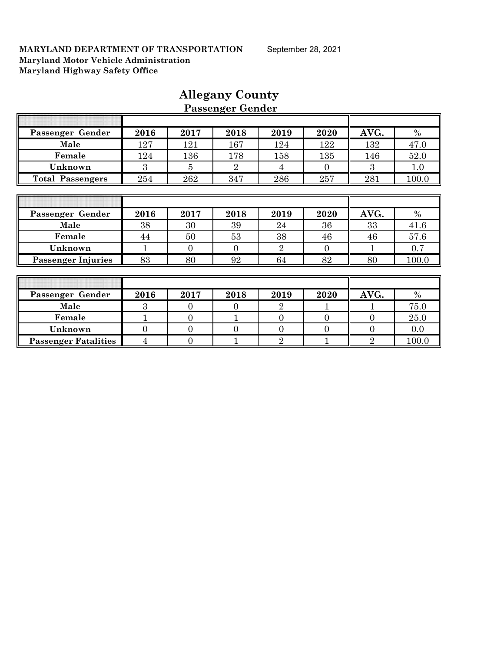| Passenger Gender            | 2016         | 2017           | 2018           | 2019           | 2020           | AVG.           | $\%$  |
|-----------------------------|--------------|----------------|----------------|----------------|----------------|----------------|-------|
| Male                        | 127          | 121            | 167            | 124            | 122            | 132            | 47.0  |
| Female                      | 124          | 136            | 178            | 158            | 135            | 146            | 52.0  |
| Unknown                     | 3            | 5              | $\overline{2}$ | 4              | $\Omega$       | 3              | 1.0   |
| <b>Total Passengers</b>     | 254          | 262            | 347            | 286            | 257            | 281            | 100.0 |
|                             |              |                |                |                |                |                |       |
|                             |              |                |                |                |                |                |       |
| Passenger Gender            | 2016         | 2017           | 2018           | 2019           | 2020           | AVG.           | $\%$  |
| Male                        | 38           | 30             | 39             | 24             | 36             | 33             | 41.6  |
| Female                      | 44           | 50             | 53             | 38             | 46             | 46             | 57.6  |
| Unknown                     |              | $\theta$       | $\Omega$       | $\overline{2}$ | $\overline{0}$ |                | 0.7   |
| <b>Passenger Injuries</b>   | 83           | 80             | 92             | 64             | 82             | 80             | 100.0 |
|                             |              |                |                |                |                |                |       |
|                             |              |                |                |                |                |                |       |
| Passenger Gender            | 2016         | 2017           | 2018           | 2019           | 2020           | AVG.           | $\%$  |
| Male                        | 3            | $\Omega$       | $\Omega$       | $\overline{2}$ |                |                | 75.0  |
| Female                      |              | $\Omega$       |                | $\Omega$       | $\Omega$       | $\Omega$       | 25.0  |
| Unknown                     | $\mathbf{0}$ | $\overline{0}$ | $\overline{0}$ | $\overline{0}$ | $\overline{0}$ | $\overline{0}$ | 0.0   |
| <b>Passenger Fatalities</b> | 4            | $\theta$       |                | $\overline{2}$ |                | $\overline{2}$ | 100.0 |

### **Allegany County Passenger Gender**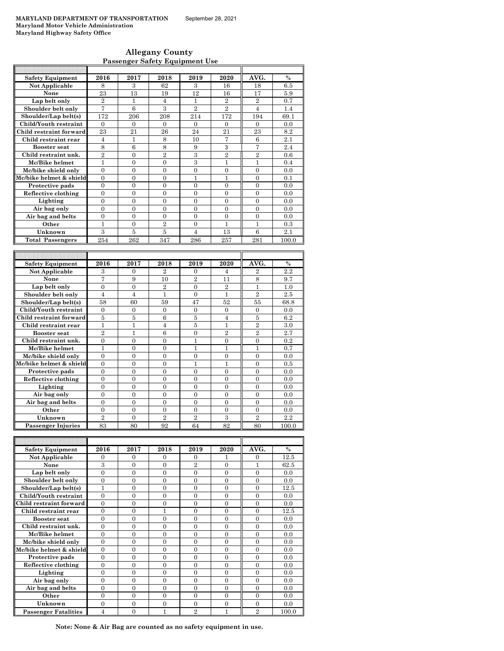| <b>Allegany County</b>                |  |
|---------------------------------------|--|
| <b>Passenger Safety Equipment Use</b> |  |

| <b>Safety Equipment</b>              | 2016                 | 2017                 | 2018                 | 2019                 | 2020           | AVG.                 | $\frac{0}{0}$ |
|--------------------------------------|----------------------|----------------------|----------------------|----------------------|----------------|----------------------|---------------|
| <b>Not Applicable</b>                | 8                    | 3                    | 62                   | 3                    | 16             | 18                   | 6.5           |
| None                                 | 23                   | 13                   | 19                   | 12                   | 16             | 17                   | 5.9           |
| Lap belt only                        | $\overline{2}$       | $\mathbf{1}$         | $\overline{4}$       | $\mathbf{1}$         | $\overline{2}$ | $\overline{2}$       | 0.7           |
| Shoulder belt only                   | 7                    | 6                    | 3                    | $\overline{2}$       | $\overline{2}$ | $\overline{4}$       | 1.4           |
| Shoulder/Lap belt(s)                 | 172                  | 206                  | 208                  | 214                  | 172            | 194                  | 69.1          |
| Child/Youth restraint                | $\theta$             | $\Omega$             | $\Omega$             | $\theta$             | $\Omega$       | $\theta$             | 0.0           |
| Child restraint forward              | 23                   | 21                   | 26                   | 24                   | 21             | 23                   | 8.2           |
| Child restraint rear                 | $\overline{4}$       | $\mathbf{1}$         | 8                    | 10                   | 7              | 6                    | 2.1           |
| <b>Booster seat</b>                  | 8                    | 6                    | 8                    | 9                    | 3              | $\overline{7}$       | 2.4           |
| Child restraint unk.                 | $\overline{2}$       | $\overline{0}$       | $\overline{2}$       | 3                    | $\overline{2}$ | $\overline{2}$       | 0.6           |
| Mc/Bike helmet                       | $\mathbf{1}$         | $\overline{0}$       | $\overline{0}$       | $\overline{3}$       | $\mathbf{1}$   | $\mathbf{1}$         | 0.4           |
| Mc/bike shield only                  | $\overline{0}$       | $\overline{0}$       | 0                    | $\overline{0}$       | $\overline{0}$ | $\overline{0}$       | 0.0           |
| Mc/bike helmet & shield              | $\overline{0}$       | $\overline{0}$       | $\overline{0}$       | 1                    | 1              | $\overline{0}$       | 0.1           |
| Protective pads                      | $\overline{0}$       | $\overline{0}$       | $\overline{0}$       | $\overline{0}$       | $\overline{0}$ | $\overline{0}$       | 0.0           |
| Reflective clothing                  | $\overline{0}$       | $\overline{0}$       | $\overline{0}$       | $\mathbf{0}$         | $\Omega$       | $\Omega$             | 0.0           |
| Lighting                             | $\overline{0}$       | $\overline{0}$       | $\overline{0}$       | $\mathbf{0}$         | $\mathbf{0}$   | $\overline{0}$       | 0.0           |
| Air bag only                         | $\overline{0}$       | $\mathbf{0}$         | $\boldsymbol{0}$     | $\mathbf{0}$         | $\mathbf{0}$   | $\overline{0}$       | 0.0           |
| Air bag and belts                    | $\theta$             | $\theta$             | $\theta$             | $\theta$             | $\Omega$       | $\Omega$             | 0.0           |
| Other                                | $\mathbf{1}$         | $\overline{0}$       | $\overline{2}$       | $\overline{0}$       | $\mathbf{1}$   | $\mathbf{1}$         | 0.3           |
| Unknown                              | 3                    | 5                    | $\bf 5$              | $\overline{4}$       | 13             | 6                    | 2.1           |
| <b>Total Passengers</b>              | 254                  | 262                  | 347                  | 286                  | 257            | 281                  | 100.0         |
|                                      |                      |                      |                      |                      |                |                      |               |
|                                      |                      |                      |                      |                      |                |                      |               |
|                                      |                      |                      |                      |                      |                |                      |               |
| <b>Safety Equipment</b>              | 2016                 | 2017                 | 2018                 | 2019                 | 2020           | AVG.                 | $\frac{0}{0}$ |
| Not Applicable                       | 3                    | 0                    | $\overline{2}$       | $\boldsymbol{0}$     | 4              | $\overline{2}$       | 2.2           |
| None                                 | 7                    | 9                    | 10                   | $\overline{2}$       | 11             | 8                    | 9.7           |
| Lap belt only                        | $\overline{0}$       | $\theta$             | $\overline{2}$       | $\theta$             | $\overline{2}$ | $\mathbf{1}$         | 1.0           |
| Shoulder belt only                   | $\overline{4}$       | $\overline{4}$       | $\mathbf{1}$         | $\overline{0}$       | $\mathbf{1}$   | $\overline{2}$       | 2.5           |
| Shoulder/Lap belt(s)                 | 58                   | 60                   | 59                   | 47                   | 52             | 55                   | 68.8          |
| Child/Youth restraint                | $\overline{0}$       | $\overline{0}$       | $\overline{0}$       | $\mathbf{0}$         | $\mathbf{0}$   | $\Omega$             | 0.0           |
| Child restraint forward              | 5                    | 5                    | 6                    | 5                    | 4              | 5                    | 6.2           |
| Child restraint rear                 | 1                    | 1                    | 4                    | 5                    | 1              | $\overline{2}$       | 3.0           |
| <b>Booster</b> seat                  | $\overline{2}$       | $\mathbf{1}$         | 6                    | $\theta$             | $\overline{2}$ | $\overline{2}$       | 2.7           |
| Child restraint unk.                 | $\boldsymbol{0}$     | $\mathbf{0}$         | $\overline{0}$       | $\mathbf{1}$         | 0              | 0                    | 0.2           |
| Mc/Bike helmet                       | $\mathbf{1}$         | $\overline{0}$       | $\overline{0}$       | 1                    | $\mathbf{1}$   | 1                    | 0.7           |
| Mc/bike shield only                  | $\overline{0}$       | $\overline{0}$       | $\overline{0}$       | $\overline{0}$       | $\overline{0}$ | $\theta$             | 0.0           |
| Mc/bike helmet & shield              | $\mathbf{0}$         | $\mathbf{0}$         | $\mathbf{0}$         | 1                    | 1              | $\mathbf{0}$         | 0.5           |
| Protective pads                      | $\overline{0}$       | $\overline{0}$       | $\overline{0}$       | $\theta$             | $\theta$       | $\theta$             | 0.0           |
| Reflective clothing                  | $\overline{0}$       | $\overline{0}$       | $\overline{0}$       | $\overline{0}$       | $\overline{0}$ | $\overline{0}$       | 0.0           |
| Lighting                             | $\theta$             | $\theta$             | $\overline{0}$       | $\theta$             | $\theta$       | $\Omega$             | 0.0           |
| Air bag only                         | $\overline{0}$       | $\overline{0}$       | $\overline{0}$       | $\overline{0}$       | $\overline{0}$ | $\overline{0}$       | 0.0           |
| Air bag and belts                    | $\overline{0}$       | $\overline{0}$       | $\overline{0}$       | $\mathbf{0}$         | $\mathbf{0}$   | $\overline{0}$       | 0.0           |
| Other                                | $\overline{0}$       | $\theta$             | $\overline{0}$       | $\theta$             | $\theta$       | $\theta$             | 0.0           |
| Unknown<br><b>Passenger Injuries</b> | $\overline{2}$<br>83 | $\overline{0}$<br>80 | $\overline{2}$<br>92 | $\overline{2}$<br>64 | 3<br>82        | $\overline{2}$<br>80 | 2.2<br>100.0  |

| <b>Safety Equipment</b>     | 2016     | 2017     | 2018     | 2019           | 2020     | AVG.           | $\frac{0}{0}$ |
|-----------------------------|----------|----------|----------|----------------|----------|----------------|---------------|
| <b>Not Applicable</b>       | 0        | $\Omega$ | $\Omega$ | $\Omega$       |          | $\Omega$       | 12.5          |
| None                        | 3        | $\Omega$ | $\Omega$ | $\overline{2}$ | $\Omega$ |                | 62.5          |
| Lap belt only               | $\theta$ | $\Omega$ | $\Omega$ | $\Omega$       | $\Omega$ | $\Omega$       | 0.0           |
| Shoulder belt only          | $\theta$ | $\Omega$ | $\Omega$ | $\Omega$       | $\Omega$ | $\Omega$       | 0.0           |
| Shoulder/Lap belt(s)        | 1        | $\Omega$ | $\Omega$ | $\Omega$       | $\Omega$ | $\Omega$       | 12.5          |
| Child/Youth restraint       | $\Omega$ | $\Omega$ | $\Omega$ | $\Omega$       | $\Omega$ | $\Omega$       | 0.0           |
| Child restraint forward     | $\theta$ | $\Omega$ | $\Omega$ | $\Omega$       | $\Omega$ | $\Omega$       | 0.0           |
| Child restraint rear        | $\theta$ | $\Omega$ | 1        | $\Omega$       | $\Omega$ | $\Omega$       | 12.5          |
| <b>Booster seat</b>         | $\theta$ | $\Omega$ | $\theta$ | $\theta$       | $\theta$ | $\Omega$       | 0.0           |
| Child restraint unk.        | $\Omega$ | $\Omega$ | $\Omega$ | $\Omega$       | $\Omega$ | $\Omega$       | 0.0           |
| Mc/Bike helmet              | $\theta$ | $\Omega$ | $\Omega$ | $\Omega$       | $\Omega$ | $\Omega$       | 0.0           |
| Mc/bike shield only         | $\theta$ | $\Omega$ | $\Omega$ | $\Omega$       | $\Omega$ | $\Omega$       | 0.0           |
| Mc/bike helmet & shield     | $\Omega$ | $\Omega$ | $\Omega$ | $\Omega$       | $\Omega$ | $\Omega$       | 0.0           |
| Protective pads             | $\Omega$ | $\Omega$ | $\Omega$ | $\Omega$       | $\Omega$ | $\Omega$       | 0.0           |
| Reflective clothing         | $\theta$ | $\Omega$ | $\Omega$ | $\Omega$       | $\Omega$ | $\Omega$       | 0.0           |
| Lighting                    | 0        | $\Omega$ | $\Omega$ | $\Omega$       | $\Omega$ | $\Omega$       | 0.0           |
| Air bag only                | $\Omega$ | $\Omega$ | $\Omega$ | $\Omega$       | $\Omega$ | $\Omega$       | 0.0           |
| Air bag and belts           | $\theta$ | $\Omega$ | $\Omega$ | $\Omega$       | $\Omega$ | $\Omega$       | 0.0           |
| Other                       | 0        | $\Omega$ | $\Omega$ | $\Omega$       | $\Omega$ | $\Omega$       | 0.0           |
| Unknown                     | $\theta$ | $\Omega$ | $\Omega$ | $\Omega$       | $\Omega$ | $\Omega$       | 0.0           |
| <b>Passenger Fatalities</b> | 4        | $\Omega$ |          | $\overline{2}$ |          | $\overline{2}$ | 100.0         |

**Note: None & Air Bag are counted as no safety equipment in use.**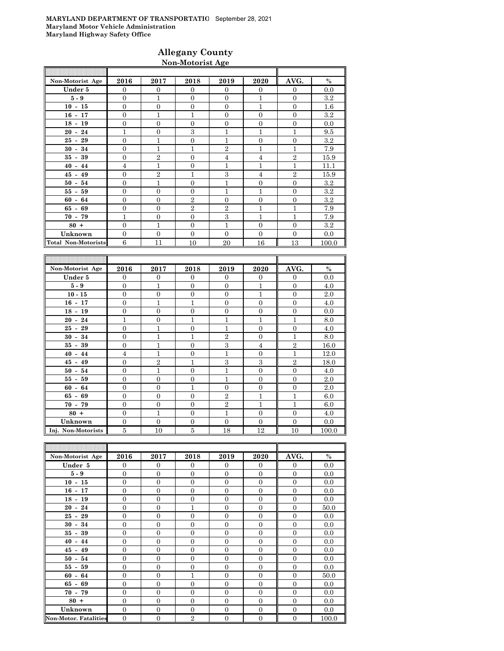### **Allegany County Non-Motorist Age**

| Non-Motorist Age           | 2016           | 2017           | 2018           | 2019           | 2020           | AVG.           | $\%$    |
|----------------------------|----------------|----------------|----------------|----------------|----------------|----------------|---------|
| Under 5                    | $\mathbf{0}$   | $\mathbf{0}$   | $\theta$       | $\Omega$       | $\mathbf{0}$   | $\overline{0}$ | 0.0     |
| $5-9$                      | $\Omega$       | 1              | $\Omega$       | $\Omega$       | 1              | $\Omega$       | $3.2\,$ |
| $10 - 15$                  | $\Omega$       | $\Omega$       | $\Omega$       | $\Omega$       | 1              | $\Omega$       | $1.6\,$ |
| $16 - 17$                  | $\overline{0}$ | $\mathbf{1}$   | 1              | $\Omega$       | $\mathbf{0}$   | $\Omega$       | $3.2\,$ |
| $18 - 19$                  | $\overline{0}$ | $\mathbf{0}$   | $\Omega$       | $\Omega$       | $\mathbf{0}$   | $\mathbf{0}$   | 0.0     |
| $20 - 24$                  | $\mathbf{1}$   | $\mathbf{0}$   | 3              | 1              | $\overline{1}$ | 1              | 9.5     |
| $25 - 29$                  | $\overline{0}$ | 1              | $\mathbf{0}$   | $\mathbf{1}$   | $\mathbf{0}$   | $\mathbf{0}$   | 3.2     |
| $30 - 34$                  | $\overline{0}$ | 1              | 1              | $\overline{2}$ | $\mathbf{1}$   | 1              | 7.9     |
| $35 - 39$                  | $\Omega$       | $\overline{2}$ | $\Omega$       | $\overline{4}$ | $\overline{4}$ | $\mathbf{2}$   | 15.9    |
| $40 - 44$                  | $\overline{4}$ | $\mathbf{1}$   | $\Omega$       | 1              | $\overline{1}$ | 1              | 11.1    |
| $45 - 49$                  | $\overline{0}$ | $\overline{2}$ | 1              | 3              | $\overline{4}$ | $\overline{2}$ | 15.9    |
| $50 - 54$                  | $\mathbf{0}$   | $\mathbf{1}$   | $\Omega$       | $\mathbf{1}$   | $\mathbf{0}$   | $\Omega$       | $3.2\,$ |
| $55 - 59$                  | $\overline{0}$ | $\overline{0}$ | $\Omega$       | 1              | $\overline{1}$ | $\Omega$       | $3.2\,$ |
| $60 - 64$                  | $\overline{0}$ | $\overline{0}$ | $\overline{2}$ | $\Omega$       | $\overline{0}$ | $\Omega$       | $3.2\,$ |
| $65 - 69$                  | $\overline{0}$ | $\mathbf{0}$   | $\overline{2}$ | $\overline{2}$ | $\overline{1}$ | 1              | 7.9     |
| $70 - 79$                  | 1              | $\Omega$       | $\Omega$       | 3              | $\mathbf{1}$   | 1              | 7.9     |
| $80 +$                     | $\Omega$       | 1              | $\Omega$       | 1              | $\Omega$       | $\Omega$       | $3.2\,$ |
| Unknown                    | $\Omega$       | $\Omega$       | $\Omega$       | $\Omega$       | $\Omega$       | $\Omega$       | 0.0     |
| <b>Total Non-Motorists</b> | 6              | 11             | 10             | 20             | 16             | 13             | 100.0   |

| Non-Motorist Age   | 2016           | 2017           | 2018         | 2019           | 2020           | AVG.           | $\%$  |
|--------------------|----------------|----------------|--------------|----------------|----------------|----------------|-------|
| Under 5            | $\Omega$       | $\Omega$       | $\theta$     | $\overline{0}$ | $\overline{0}$ | $\overline{0}$ | 0.0   |
| $5-9$              | $\Omega$       | $\mathbf{1}$   | $\Omega$     | $\Omega$       | $\mathbf{1}$   | $\mathbf{0}$   | 4.0   |
| $10 - 15$          | $\Omega$       | $\overline{0}$ | $\Omega$     | $\Omega$       | 1              | $\mathbf{0}$   | 2.0   |
| $16 - 17$          | $\overline{0}$ | $\mathbf{1}$   | $\mathbf{1}$ | $\overline{0}$ | $\overline{0}$ | $\mathbf{0}$   | 4.0   |
| $18 - 19$          | $\mathbf{0}$   | $\overline{0}$ | $\mathbf{0}$ | $\overline{0}$ | $\mathbf{0}$   | $\mathbf{0}$   | 0.0   |
| $20 - 24$          | 1              | $\overline{0}$ | $\mathbf{1}$ | $\mathbf{1}$   | $\mathbf{1}$   | $\overline{1}$ | 8.0   |
| $25 - 29$          | $\Omega$       | $\mathbf{1}$   | $\mathbf{0}$ | 1              | $\overline{0}$ | $\overline{0}$ | 4.0   |
| $30 - 34$          | $\mathbf{0}$   | $\overline{1}$ | $\mathbf{1}$ | $\mathbf{2}$   | $\theta$       | 1              | 8.0   |
| $35 - 39$          | $\mathbf{0}$   | $\mathbf{1}$   | $\mathbf{0}$ | 3              | $\overline{4}$ | $\overline{2}$ | 16.0  |
| $40 - 44$          | $\overline{4}$ | $\overline{1}$ | $\Omega$     | $\mathbf{1}$   | $\Omega$       | $\overline{1}$ | 12.0  |
| $45 - 49$          | $\mathbf{0}$   | $\overline{2}$ | $\mathbf{1}$ | 3              | 3              | $\overline{2}$ | 18.0  |
| $50 - 54$          | $\mathbf{0}$   | $\mathbf{1}$   | $\mathbf{0}$ | $\mathbf{1}$   | $\overline{0}$ | $\mathbf{0}$   | 4.0   |
| $55 - 59$          | $\Omega$       | $\overline{0}$ | $\theta$     | $\mathbf{1}$   | $\overline{0}$ | $\overline{0}$ | 2.0   |
| $60 - 64$          | $\mathbf{0}$   | $\overline{0}$ | 1            | $\overline{0}$ | $\overline{0}$ | $\overline{0}$ | 2.0   |
| $65 - 69$          | $\Omega$       | $\Omega$       | $\Omega$     | $\mathbf{2}$   | $\mathbf{1}$   | $\mathbf{1}$   | 6.0   |
| $70 - 79$          | $\overline{0}$ | $\overline{0}$ | $\Omega$     | $\overline{2}$ | $\mathbf{1}$   | $\mathbf{1}$   | 6.0   |
| $80 +$             | $\overline{0}$ | $\mathbf{1}$   | $\Omega$     | $\mathbf{1}$   | $\overline{0}$ | $\mathbf{0}$   | 4.0   |
| Unknown            | $\mathbf{0}$   | $\overline{0}$ | $\theta$     | $\overline{0}$ | $\overline{0}$ | $\mathbf{0}$   | 0.0   |
| Inj. Non-Motorists | 5              | 10             | 5            | 18             | 12             | 10             | 100.0 |

| Non-Motorist Age             | 2016           | 2017             | 2018           | 2019           | 2020             | AVG.           | $\%$  |
|------------------------------|----------------|------------------|----------------|----------------|------------------|----------------|-------|
| Under 5                      | $\mathbf{0}$   | $\mathbf{0}$     | $\overline{0}$ | $\mathbf{0}$   | $\overline{0}$   | $\mathbf{0}$   | 0.0   |
| $5-9$                        | $\theta$       | $\Omega$         | $\Omega$       | $\Omega$       | $\Omega$         | $\Omega$       | 0.0   |
| $10 - 15$                    | $\overline{0}$ | $\overline{0}$   | $\Omega$       | $\Omega$       | $\mathbf{0}$     | $\mathbf{0}$   | 0.0   |
| $16 - 17$                    | $\overline{0}$ | $\overline{0}$   | $\overline{0}$ | $\Omega$       | $\mathbf{0}$     | $\overline{0}$ | 0.0   |
| $18 - 19$                    | $\overline{0}$ | $\overline{0}$   | $\overline{0}$ | $\overline{0}$ | $\overline{0}$   | $\overline{0}$ | 0.0   |
| $20 - 24$                    | $\overline{0}$ | $\overline{0}$   | 1              | $\overline{0}$ | $\overline{0}$   | $\overline{0}$ | 50.0  |
| $25 - 29$                    | $\overline{0}$ | $\overline{0}$   | $\Omega$       | $\Omega$       | $\overline{0}$   | $\mathbf{0}$   | 0.0   |
| $30 - 34$                    | $\overline{0}$ | $\overline{0}$   | $\overline{0}$ | $\overline{0}$ | $\mathbf{0}$     | $\Omega$       | 0.0   |
| $35 - 39$                    | $\overline{0}$ | $\overline{0}$   | $\overline{0}$ | $\Omega$       | $\mathbf{0}$     | $\mathbf{0}$   | 0.0   |
| $40 - 44$                    | $\overline{0}$ | $\overline{0}$   | $\Omega$       | $\Omega$       | $\overline{0}$   | $\overline{0}$ | 0.0   |
| $45 - 49$                    | $\overline{0}$ | $\overline{0}$   | $\Omega$       | $\Omega$       | $\overline{0}$   | $\overline{0}$ | 0.0   |
| $50 - 54$                    | $\overline{0}$ | $\mathbf{0}$     | $\Omega$       | $\Omega$       | $\mathbf{0}$     | $\mathbf{0}$   | 0.0   |
| $55 - 59$                    | $\overline{0}$ | $\overline{0}$   | $\overline{0}$ | $\overline{0}$ | $\mathbf{0}$     | $\mathbf{0}$   | 0.0   |
| $60 - 64$                    | $\overline{0}$ | $\boldsymbol{0}$ | $\overline{1}$ | $\overline{0}$ | $\mathbf{0}$     | $\mathbf{0}$   | 50.0  |
| $65 - 69$                    | $\overline{0}$ | $\overline{0}$   | $\overline{0}$ | $\overline{0}$ | $\mathbf{0}$     | $\mathbf{0}$   | 0.0   |
| $70 - 79$                    | $\overline{0}$ | $\overline{0}$   | $\Omega$       | $\Omega$       | $\mathbf{0}$     | $\mathbf{0}$   | 0.0   |
| $80 +$                       | $\Omega$       | $\overline{0}$   | $\Omega$       | $\Omega$       | $\mathbf{0}$     | $\Omega$       | 0.0   |
| Unknown                      | $\overline{0}$ | $\overline{0}$   | $\overline{0}$ | $\overline{0}$ | $\boldsymbol{0}$ | $\overline{0}$ | 0.0   |
| <b>Non-Motor. Fatalities</b> | $\overline{0}$ | $\boldsymbol{0}$ | $\overline{2}$ | $\overline{0}$ | $\boldsymbol{0}$ | $\mathbf{0}$   | 100.0 |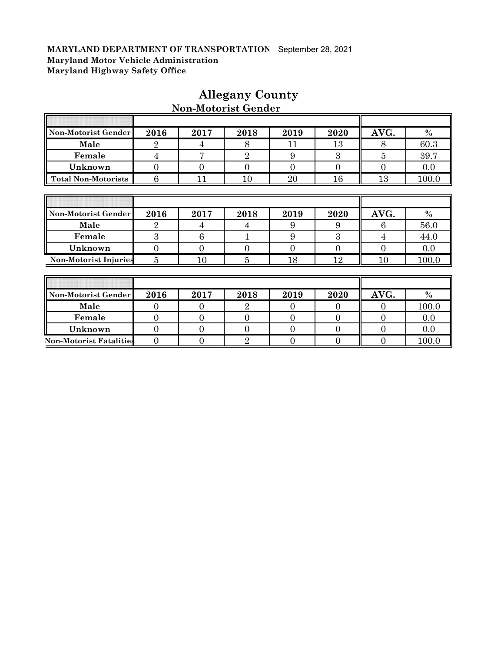| Non-Motorist Gender            | 2016             | 2017            | 2018           | 2019           | 2020           | AVG.             | $\frac{0}{0}$ |
|--------------------------------|------------------|-----------------|----------------|----------------|----------------|------------------|---------------|
| Male                           | $\overline{2}$   | 4               | 8              | 11             | 13             | 8                | 60.3          |
| Female                         | 4                | $\overline{7}$  | $\overline{2}$ | 9              | 3              | 5                | 39.7          |
| Unknown                        | $\overline{0}$   | $\overline{0}$  | $\overline{0}$ | $\overline{0}$ | $\overline{0}$ | $\theta$         | 0.0           |
| <b>Total Non-Motorists</b>     | 6                | 11              | 10             | 20             | 16             | 13               | 100.0         |
|                                |                  |                 |                |                |                |                  |               |
|                                |                  |                 |                |                |                |                  |               |
| Non-Motorist Gender            | 2016             | 2017            | 2018           | 2019           | 2020           | AVG.             | $\%$          |
| Male                           | $\overline{2}$   | 4               | 4              | 9              | 9              | 6                | 56.0          |
| Female                         | 3                | $6\phantom{.}6$ |                | 9              | 3              | 4                | 44.0          |
| Unknown                        | $\boldsymbol{0}$ | $\overline{0}$  | $\overline{0}$ | $\theta$       | $\overline{0}$ | $\theta$         | 0.0           |
| <b>Non-Motorist Injuries</b>   | $\overline{5}$   | 10              | $\overline{5}$ | 18             | 12             | 10               | 100.0         |
|                                |                  |                 |                |                |                |                  |               |
|                                |                  |                 |                |                |                |                  |               |
| Non-Motorist Gender            | 2016             | 2017            | 2018           | 2019           | 2020           | AVG.             | $\%$          |
| Male                           | $\overline{0}$   | $\overline{0}$  | $\overline{2}$ | $\overline{0}$ | $\overline{0}$ | $\theta$         | 100.0         |
| Female                         | $\overline{0}$   | $\overline{0}$  | $\overline{0}$ | $\overline{0}$ | $\overline{0}$ | $\boldsymbol{0}$ | 0.0           |
| Unknown                        | $\overline{0}$   | $\overline{0}$  | $\overline{0}$ | $\theta$       | $\overline{0}$ | $\boldsymbol{0}$ | 0.0           |
| <b>Non-Motorist Fatalities</b> | $\boldsymbol{0}$ | $\overline{0}$  | $\overline{2}$ | $\overline{0}$ | $\overline{0}$ | $\overline{0}$   | 100.0         |

### **Allegany County Non-Motorist Gender**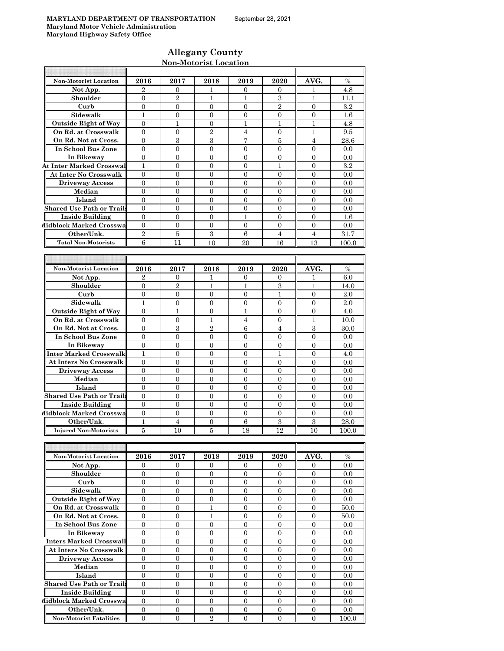Ħ

F

 $\overline{\mathbb{T}}$ 

### **Allegany County Non-Motorist Location**

| <b>Non-Motorist Location</b><br>Not App.<br>Shoulder<br>Curb<br>Sidewalk | 2016             | 2017             |                  |                  |                  |                  |       |
|--------------------------------------------------------------------------|------------------|------------------|------------------|------------------|------------------|------------------|-------|
|                                                                          |                  |                  | 2018             | 2019             | 2020             | AVG.             | $\%$  |
|                                                                          | $\overline{2}$   | 0                | 1                | 0                | 0                | 1                | 4.8   |
|                                                                          | $\overline{0}$   | $\overline{2}$   | 1                | 1                | 3                | 1                | 11.1  |
|                                                                          | $\boldsymbol{0}$ | $\mathbf{0}$     | $\overline{0}$   | $\overline{0}$   | $\overline{2}$   | $\overline{0}$   | 3.2   |
|                                                                          | $\mathbf{1}$     | $\overline{0}$   | $\overline{0}$   | $\overline{0}$   | $\overline{0}$   | $\overline{0}$   | 1.6   |
| <b>Outside Right of Way</b>                                              | $\overline{0}$   | 1                | $\boldsymbol{0}$ | 1                | $\mathbf{1}$     | 1                | 4.8   |
| On Rd. at Crosswalk                                                      | $\overline{0}$   | $\overline{0}$   | $\overline{2}$   | $\overline{4}$   | $\overline{0}$   | $\mathbf{1}$     | 9.5   |
| On Rd. Not at Cross.                                                     | $\overline{0}$   | 3                | 3                | 7                | 5                | $\overline{4}$   | 28.6  |
| In School Bus Zone                                                       | $\boldsymbol{0}$ | 0                | $\overline{0}$   | 0                | $\overline{0}$   | $\overline{0}$   | 0.0   |
| In Bikeway                                                               | $\overline{0}$   | $\overline{0}$   | $\mathbf{0}$     | $\overline{0}$   | $\overline{0}$   | $\overline{0}$   | 0.0   |
| <b>At Inter Marked Crosswal</b>                                          | $\mathbf{1}$     | $\mathbf{0}$     | $\boldsymbol{0}$ | $\overline{0}$   | $\mathbf{1}$     | $\overline{0}$   | 3.2   |
| <b>At Inter No Crosswalk</b>                                             | $\overline{0}$   | $\overline{0}$   | $\overline{0}$   | $\overline{0}$   | $\overline{0}$   | $\overline{0}$   | 0.0   |
| <b>Driveway Access</b>                                                   | $\overline{0}$   | $\overline{0}$   | $\overline{0}$   | $\overline{0}$   | $\overline{0}$   | $\overline{0}$   | 0.0   |
| Median                                                                   | $\overline{0}$   | $\overline{0}$   | $\Omega$         | $\overline{0}$   | $\Omega$         | $\overline{0}$   | 0.0   |
| Island                                                                   | $\overline{0}$   | $\overline{0}$   | $\overline{0}$   | $\overline{0}$   | $\overline{0}$   | $\overline{0}$   | 0.0   |
| <b>Shared Use Path or Trails</b>                                         | $\theta$         | 0                | $\theta$         | $\mathbf{0}$     | $\mathbf{0}$     | $\mathbf{0}$     | 0.0   |
| <b>Inside Building</b>                                                   | $\overline{0}$   | $\overline{0}$   | $\overline{0}$   | $\mathbf{1}$     | $\overline{0}$   | $\overline{0}$   | 1.6   |
| Midblock Marked Crosswa                                                  | $\overline{0}$   | $\boldsymbol{0}$ | $\overline{0}$   | $\mathbf{0}$     | $\overline{0}$   | $\overline{0}$   | 0.0   |
| Other/Unk.                                                               | $\,2$            | $\overline{5}$   | 3                | $\,6$            | $\overline{4}$   | $\overline{4}$   | 31.7  |
| <b>Total Non-Motorists</b>                                               | 6                | 11               | 10               | 20               | 16               | 13               | 100.0 |
|                                                                          |                  |                  |                  |                  |                  |                  |       |
|                                                                          |                  |                  |                  |                  |                  |                  |       |
| <b>Non-Motorist Location</b>                                             | 2016             | 2017             | 2018             | 2019             | 2020             | AVG.             | $\%$  |
| Not App.                                                                 | $\overline{2}$   | 0                | 1                | 0                | 0                | 1                | 6.0   |
| Shoulder                                                                 | $\overline{0}$   | $\overline{2}$   | $\mathbf{1}$     | 1                | 3                | $\mathbf{1}$     | 14.0  |
| Curb                                                                     | $\boldsymbol{0}$ | $\boldsymbol{0}$ | $\overline{0}$   | $\overline{0}$   | $\mathbf{1}$     | $\overline{0}$   | 2.0   |
| Sidewalk                                                                 | $\mathbf{1}$     | 0                | $\boldsymbol{0}$ | 0                | $\boldsymbol{0}$ | $\overline{0}$   | 2.0   |
| <b>Outside Right of Way</b>                                              | $\overline{0}$   | 1                | 0                | 1                | $\overline{0}$   | $\overline{0}$   | 4.0   |
| On Rd. at Crosswalk                                                      | $\overline{0}$   | $\overline{0}$   | $\mathbf{1}$     | 4                | $\overline{0}$   | $\mathbf{1}$     | 10.0  |
| On Rd. Not at Cross.                                                     | $\boldsymbol{0}$ | $\,3$            | $\overline{2}$   | 6                | $\overline{4}$   | $\boldsymbol{3}$ | 30.0  |
| In School Bus Zone                                                       | $\mathbf{0}$     | 0                | $\mathbf{0}$     | $\mathbf{0}$     | $\overline{0}$   | $\mathbf{0}$     | 0.0   |
| In Bikeway                                                               | $\overline{0}$   | $\overline{0}$   | $\overline{0}$   | $\overline{0}$   | $\overline{0}$   | $\overline{0}$   | 0.0   |
| Inter Marked Crosswalk                                                   | $\mathbf{1}$     | $\mathbf{0}$     | $\mathbf{0}$     | $\mathbf{0}$     | $\mathbf{1}$     | $\overline{0}$   | 4.0   |
|                                                                          | $\overline{0}$   | $\boldsymbol{0}$ | $\overline{0}$   | $\overline{0}$   | $\mathbf{0}$     | $\overline{0}$   | 0.0   |
| <b>At Inters No Crosswalk</b>                                            |                  |                  |                  |                  |                  |                  |       |
| <b>Driveway Access</b>                                                   | $\boldsymbol{0}$ | 0                | 0                | 0                | $\boldsymbol{0}$ | $\boldsymbol{0}$ | 0.0   |
| Median                                                                   | $\overline{0}$   | $\overline{0}$   | $\overline{0}$   | $\overline{0}$   | $\overline{0}$   | $\overline{0}$   | 0.0   |
| Island                                                                   | $\overline{0}$   | $\boldsymbol{0}$ | $\boldsymbol{0}$ | $\overline{0}$   | $\overline{0}$   | $\overline{0}$   | 0.0   |
| <b>Shared Use Path or Trails</b>                                         | $\overline{0}$   | $\overline{0}$   | $\overline{0}$   | $\overline{0}$   | $\overline{0}$   | $\overline{0}$   | 0.0   |
| <b>Inside Building</b>                                                   | $\overline{0}$   | $\overline{0}$   | $\overline{0}$   | $\boldsymbol{0}$ | $\overline{0}$   | $\overline{0}$   | 0.0   |
| Midblock Marked Crosswa                                                  | $\mathbf{0}$     | $\overline{0}$   | $\mathbf{0}$     | $\overline{0}$   | $\overline{0}$   | $\overline{0}$   | 0.0   |
| Other/Unk.                                                               | $\mathbf{1}$     | $\overline{4}$   | $\overline{0}$   | $\,6$            | 3                | $\sqrt{3}$       | 28.0  |
| <b>Injured Non-Motorists</b>                                             | 5                | 10               | 5                | 18               | 12               | 10               | 100.0 |
|                                                                          |                  |                  |                  |                  |                  |                  |       |
|                                                                          |                  |                  |                  |                  |                  |                  |       |
| Non-Motorist Location                                                    | 2016             | 2017             | 2018             | 2019             | 2020             | AVG.             | $\%$  |
| Not App.                                                                 | $\mathbf{0}$     | $\overline{0}$   | $\overline{0}$   | $\mathbf{0}$     | $\mathbf{0}$     | $\overline{0}$   | 0.0   |
| Shoulder                                                                 | $\boldsymbol{0}$ | 0                | $\overline{0}$   | 0                | $\boldsymbol{0}$ | $\boldsymbol{0}$ | 0.0   |
| Curb                                                                     | $\overline{0}$   | $\overline{0}$   | $\overline{0}$   | $\overline{0}$   | $\overline{0}$   | $\overline{0}$   | 0.0   |
| Sidewalk                                                                 | $\mathbf{0}$     | $\overline{0}$   | $\mathbf{0}$     | $\overline{0}$   | $\overline{0}$   | $\overline{0}$   | 0.0   |
| <b>Outside Right of Way</b>                                              | $\boldsymbol{0}$ | 0                | 0                | 0                | 0                | $\boldsymbol{0}$ | 0.0   |
| On Rd. at Crosswalk                                                      | $\overline{0}$   | $\overline{0}$   | $\mathbf{1}$     | $\overline{0}$   | $\mathbf{0}$     | $\overline{0}$   | 50.0  |
| On Rd. Not at Cross.                                                     | $\boldsymbol{0}$ | $\boldsymbol{0}$ | $\mathbf{1}$     | $\mathbf{0}$     | $\boldsymbol{0}$ | $\overline{0}$   | 50.0  |
| In School Bus Zone                                                       | 0                | 0                | 0                | 0                | $\boldsymbol{0}$ | $\boldsymbol{0}$ | 0.0   |
| In Bikeway                                                               | $\overline{0}$   | $\overline{0}$   | $\overline{0}$   | 0                | $\overline{0}$   | $\overline{0}$   | 0.0   |
| Inters Marked Crosswall                                                  | $\mathbf{0}$     | $\overline{0}$   | $\overline{0}$   | $\overline{0}$   | $\mathbf{0}$     | $\overline{0}$   | 0.0   |
| <b>At Inters No Crosswalk</b>                                            | $\boldsymbol{0}$ | $\boldsymbol{0}$ | $\boldsymbol{0}$ | 0                | $\overline{0}$   | $\mathbf{0}$     | 0.0   |
| <b>Driveway Access</b>                                                   | $\mathbf{0}$     | $\overline{0}$   | 0                | 0                | $\mathbf{0}$     | $\mathbf{0}$     | 0.0   |
| Median                                                                   | $\overline{0}$   | $\overline{0}$   | $\mathbf{0}$     | $\overline{0}$   | $\overline{0}$   | $\overline{0}$   | 0.0   |
| Island                                                                   | $\boldsymbol{0}$ | $\boldsymbol{0}$ | $\boldsymbol{0}$ | $\boldsymbol{0}$ | $\overline{0}$   | $\boldsymbol{0}$ | 0.0   |
| <b>Shared Use Path or Trails</b>                                         | 0                | 0                | $\boldsymbol{0}$ | $\boldsymbol{0}$ | $\boldsymbol{0}$ | $\boldsymbol{0}$ | 0.0   |
| <b>Inside Building</b>                                                   | $\overline{0}$   | 0                | 0                | 0                | $\boldsymbol{0}$ | $\boldsymbol{0}$ | 0.0   |
| Midblock Marked Crosswa                                                  | $\mathbf{0}$     | $\overline{0}$   | $\mathbf{0}$     | $\overline{0}$   | $\overline{0}$   | $\overline{0}$   | 0.0   |
| Other/Unk.                                                               | $\overline{0}$   | $\boldsymbol{0}$ | $\mathbf{0}$     | 0                | $\mathbf{0}$     | $\overline{0}$   | 0.0   |